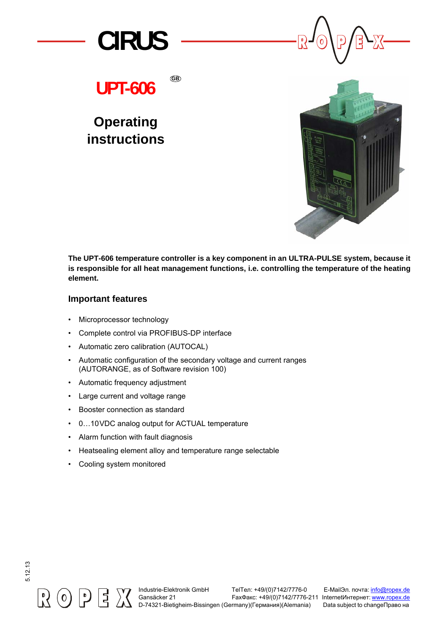

**UPT-606**

**GB**

# **Operating instructions**



**The UPT-606 temperature controller is a key component in an ULTRA-PULSE system, because it is responsible for all heat management functions, i.e. controlling the temperature of the heating element.**

#### **Important features**

- Microprocessor technology
- Complete control via PROFIBUS-DP interface
- Automatic zero calibration (AUTOCAL)
- Automatic configuration of the secondary voltage and current ranges (AUTORANGE, as of Software revision 100)
- Automatic frequency adjustment
- Large current and voltage range
- Booster connection as standard
- 0…10VDC analog output for ACTUAL temperature
- Alarm function with fault diagnosis
- Heatsealing element alloy and temperature range selectable
- Cooling system monitored



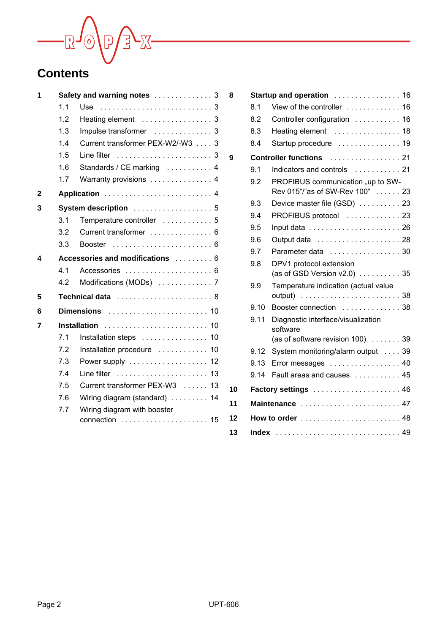

| 1 |     | Safety and warning notes  3                      |
|---|-----|--------------------------------------------------|
|   | 1.1 | Use                                              |
|   | 1.2 |                                                  |
|   | 1.3 | Impulse transformer  3                           |
|   | 1.4 | Current transformer PEX-W2/-W3 3                 |
|   | 1.5 | Line filter ,,,,,,,,,,,,,,,,,,,,。                |
|   | 1.6 | Standards / CE marking  4                        |
|   | 1.7 | Warranty provisions  4                           |
| 2 |     |                                                  |
| 3 |     | System description  5                            |
|   | 3.1 | Temperature controller  5                        |
|   | 3.2 | Current transformer 6                            |
|   | 3.3 |                                                  |
| 4 |     | Accessories and modifications  6                 |
|   | 4.1 |                                                  |
|   | 4.2 | Modifications (MODs)  7                          |
| 5 |     | Technical data  8                                |
| 6 |     |                                                  |
| 7 |     | <b>Installation</b>                              |
|   | 7.1 | Installation steps 10                            |
|   | 7.2 | Installation procedure  10                       |
|   | 7.3 | Power supply $\dots\dots\dots\dots\dots\dots$ 12 |
|   | 7.4 |                                                  |
|   | 7.5 | Current transformer PEX-W3  13                   |
|   | 7.6 | Wiring diagram (standard) 14                     |
|   | 7.7 | Wiring diagram with booster                      |
|   |     | 15                                               |

| 8  |       | Startup and operation  16                                            |
|----|-------|----------------------------------------------------------------------|
|    | 8.1   | View of the controller  16                                           |
|    | 8.2   | Controller configuration  16                                         |
|    | 8.3   | Heating element  18                                                  |
|    | 8.4   | Startup procedure  19                                                |
| 9  |       | <b>Controller functions</b> 21                                       |
|    | 9.1   | Indicators and controls  21                                          |
|    | 9.2   | PROFIBUS communication "up to SW-<br>Rev 015"/"as of SW-Rev 100"  23 |
|    | 9.3   | Device master file (GSD)  23                                         |
|    | 94    | PROFIBUS protocol  23                                                |
|    | 9.5   |                                                                      |
|    | 9.6   |                                                                      |
|    | 9.7   | Parameter data  30                                                   |
|    | 9.8   | DPV1 protocol extension<br>(as of GSD Version $v2.0$ )  35           |
|    | 9.9   | Temperature indication (actual value                                 |
|    | 9.10  | Booster connection  38                                               |
|    | 9.11  | Diagnostic interface/visualization<br>software                       |
|    |       | (as of software revision 100)  39                                    |
|    | 9.12  | System monitoring/alarm output 39                                    |
|    | 9.13  | Error messages  40                                                   |
|    | 9.14  | Fault areas and causes  45                                           |
| 10 |       | Factory settings  46                                                 |
| 11 |       | Maintenance  47                                                      |
| 12 |       |                                                                      |
| 13 | Index |                                                                      |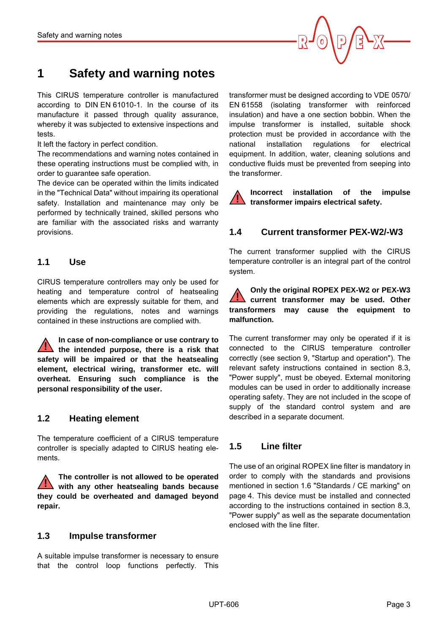

# <span id="page-2-0"></span>**1 Safety and warning notes**

This CIRUS temperature controller is manufactured according to DIN EN 61010-1. In the course of its manufacture it passed through quality assurance, whereby it was subjected to extensive inspections and tests.

It left the factory in perfect condition.

The recommendations and warning notes contained in these operating instructions must be complied with, in order to guarantee safe operation.

The device can be operated within the limits indicated in the "Technical Data" without impairing its operational safety. Installation and maintenance may only be performed by technically trained, skilled persons who are familiar with the associated risks and warranty provisions.

#### <span id="page-2-1"></span>**1.1 Use**

CIRUS temperature controllers may only be used for heating and temperature control of heatsealing elements which are expressly suitable for them, and providing the regulations, notes and warnings contained in these instructions are complied with.

**In case of non-compliance or use contrary to the intended purpose, there is a risk that safety will be impaired or that the heatsealing element, electrical wiring, transformer etc. will overheat. Ensuring such compliance is the personal responsibility of the user. !**

#### <span id="page-2-7"></span><span id="page-2-2"></span>**1.2 Heating element**

The temperature coefficient of a CIRUS temperature controller is specially adapted to CIRUS heating elements.

**The controller is not allowed to be operated with any other heatsealing bands because they could be overheated and damaged beyond repair. !**

#### <span id="page-2-11"></span><span id="page-2-8"></span><span id="page-2-3"></span>**1.3 Impulse transformer**

A suitable impulse transformer is necessary to ensure that the control loop functions perfectly. This

transformer must be designed according to VDE 0570/ EN 61558 (isolating transformer with reinforced insulation) and have a one section bobbin. When the impulse transformer is installed, suitable shock protection must be provided in accordance with the national installation regulations for electrical equipment. In addition, water, cleaning solutions and conductive fluids must be prevented from seeping into the transformer.

**Incorrect installation of the impulse transformer impairs electrical safety. !**

## <span id="page-2-10"></span><span id="page-2-6"></span><span id="page-2-4"></span>**1.4 Current transformer PEX-W2/-W3**

The current transformer supplied with the CIRUS temperature controller is an integral part of the control system.

#### **Only the original ROPEX PEX-W2 or PEX-W3 current transformer may be used. Other transformers may cause the equipment to malfunction. !**

The current transformer may only be operated if it is connected to the CIRUS temperature controller correctly (see section 9, "Startup and operation"). The relevant safety instructions contained in section 8.3, "Power supply", must be obeyed. External monitoring modules can be used in order to additionally increase operating safety. They are not included in the scope of supply of the standard control system and are described in a separate document.

## <span id="page-2-9"></span><span id="page-2-5"></span>**1.5 Line filter**

The use of an original ROPEX line filter is mandatory in order to comply with the standards and provisions mentioned in section 1.6 "Standards / CE marking" on page 4. This device must be installed and connected according to the instructions contained in section 8.3, "Power supply" as well as the separate documentation enclosed with the line filter.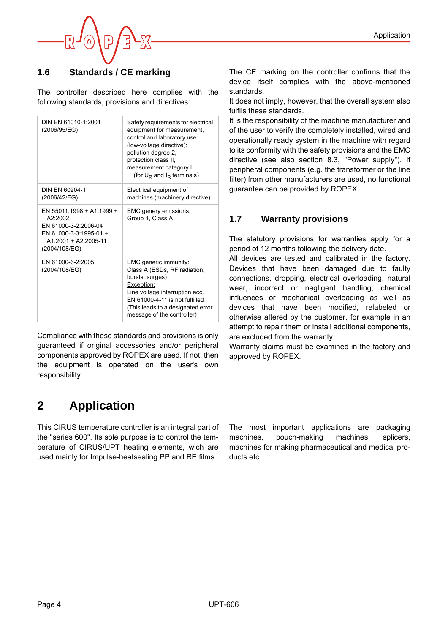

# <span id="page-3-0"></span>**1.6 Standards / CE marking**

The controller described here complies with the following standards, provisions and directives:

| DIN FN 61010-1:2001<br>(2006/95/EG)                                                                                                 | Safety requirements for electrical<br>equipment for measurement,<br>control and laboratory use<br>(low-voltage directive):<br>pollution degree 2,<br>protection class II,<br>measurement category I<br>(for $U_R$ and $I_R$ terminals) |
|-------------------------------------------------------------------------------------------------------------------------------------|----------------------------------------------------------------------------------------------------------------------------------------------------------------------------------------------------------------------------------------|
| DIN FN 60204-1<br>(2006/42/EG)                                                                                                      | Electrical equipment of<br>machines (machinery directive)                                                                                                                                                                              |
| $FN 55011.1998 + A1.1999 +$<br>A2.2002<br>EN 61000-3-2:2006-04<br>EN 61000-3-3:1995-01 +<br>$A1:2001 + A2:2005-11$<br>(2004/108/EG) | EMC genery emissions:<br>Group 1, Class A                                                                                                                                                                                              |
| EN 61000-6-2:2005<br>(2004/108/EG)                                                                                                  | EMC generic immunity:<br>Class A (ESDs, RF radiation,<br>bursts, surges)<br>Exception:<br>Line voltage interruption acc.<br>FN 61000-4-11 is not fulfilled<br>(This leads to a designated error<br>message of the controller)          |

Compliance with these standards and provisions is only guaranteed if original accessories and/or peripheral components approved by ROPEX are used. If not, then the equipment is operated on the user's own responsibility.

# <span id="page-3-3"></span><span id="page-3-2"></span>**2 Application**

This CIRUS temperature controller is an integral part of the "series 600". Its sole purpose is to control the temperature of CIRUS/UPT heating elements, wich are used mainly for Impulse-heatsealing PP and RE films.

The most important applications are packaging machines, pouch-making machines, splicers, machines for making pharmaceutical and medical products etc.

The CE marking on the controller confirms that the device itself complies with the above-mentioned standards.

It does not imply, however, that the overall system also fulfils these standards.

It is the responsibility of the machine manufacturer and of the user to verify the completely installed, wired and operationally ready system in the machine with regard to its conformity with the safety provisions and the EMC directive (see also section 8.3, "Power supply"). If peripheral components (e.g. the transformer or the line filter) from other manufacturers are used, no functional guarantee can be provided by ROPEX.

# <span id="page-3-1"></span>**1.7 Warranty provisions**

The statutory provisions for warranties apply for a period of 12 months following the delivery date.

All devices are tested and calibrated in the factory. Devices that have been damaged due to faulty connections, dropping, electrical overloading, natural wear, incorrect or negligent handling, chemical influences or mechanical overloading as well as devices that have been modified, relabeled or otherwise altered by the customer, for example in an attempt to repair them or install additional components, are excluded from the warranty.

Warranty claims must be examined in the factory and approved by ROPEX.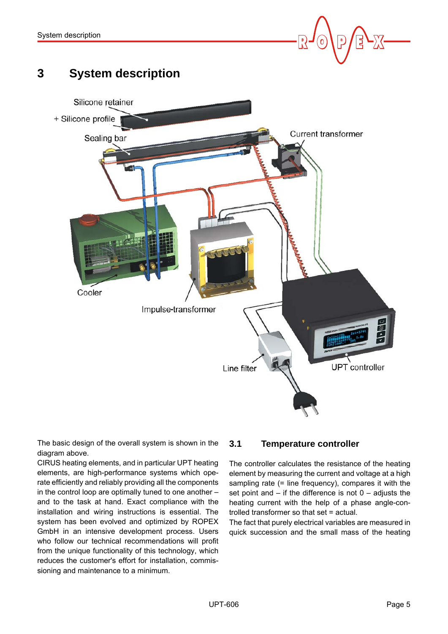

# <span id="page-4-0"></span>**3 System description**



The basic design of the overall system is shown in the diagram above.

CIRUS heating elements, and in particular UPT heating elements, are high-performance systems which operate efficiently and reliably providing all the components in the control loop are optimally tuned to one another – and to the task at hand. Exact compliance with the installation and wiring instructions is essential. The system has been evolved and optimized by ROPEX GmbH in an intensive development process. Users who follow our technical recommendations will profit from the unique functionality of this technology, which reduces the customer's effort for installation, commissioning and maintenance to a minimum.

# <span id="page-4-1"></span>**3.1 Temperature controller**

The controller calculates the resistance of the heating element by measuring the current and voltage at a high sampling rate (= line frequency), compares it with the set point and  $-$  if the difference is not  $0 -$  adjusts the heating current with the help of a phase angle-controlled transformer so that set = actual.

The fact that purely electrical variables are measured in quick succession and the small mass of the heating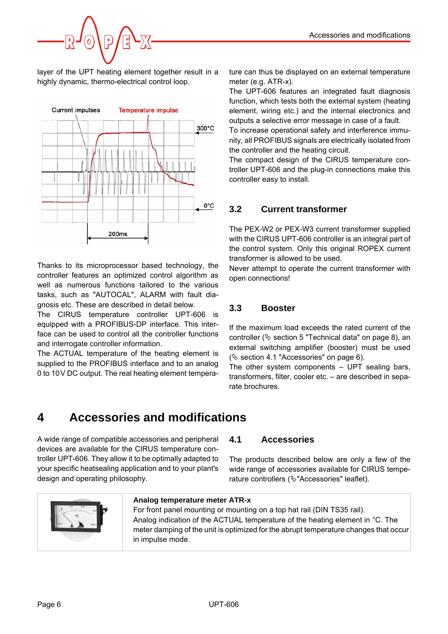

layer of the UPT heating element together result in a highly dynamic, thermo-electrical control loop.



Thanks to its microprocessor based technology, the controller features an optimized control algorithm as well as numerous functions tailored to the various tasks, such as "AUTOCAL", ALARM with fault diagnosis etc. These are described in detail below.

The CIRUS temperature controller UPT-606 is equipped with a PROFIBUS-DP interface. This interface can be used to control all the controller functions and interrogate controller information.

The ACTUAL temperature of the heating element is supplied to the PROFIBUS interface and to an analog 0 to 10V DC output. The real heating element temperature can thus be displayed on an external temperature meter (e.g. ATR-x).

<span id="page-5-7"></span>The UPT-606 features an integrated fault diagnosis function, which tests both the external system (heating element, wiring etc.) and the internal electronics and outputs a selective error message in case of a fault.

To increase operational safety and interference immunity, all PROFIBUS signals are electrically isolated from the controller and the heating circuit.

The compact design of the CIRUS temperature controller UPT-606 and the plug-in connections make this controller easy to install.

# <span id="page-5-8"></span><span id="page-5-6"></span><span id="page-5-0"></span>**3.2 Current transformer**

The PEX-W2 or PEX-W3 current transformer supplied with the CIRUS UPT-606 controller is an integral part of the control system. Only this original ROPEX current transformer is allowed to be used.

Never attempt to operate the current transformer with open connections!

# <span id="page-5-5"></span><span id="page-5-1"></span>**3.3 Booster**

If the maximum load exceeds the rated current of the controller ( $\&$  [section 5 "Technical data" on page 8\)](#page-7-0), an external switching amplifier (booster) must be used  $(\&$  [section 4.1 "Accessories" on page 6\)](#page-5-3).

The other system components – UPT sealing bars, transformers, filter, cooler etc. – are described in separate brochures.

# <span id="page-5-2"></span>**4 Accessories and modifications**

A wide range of compatible accessories and peripheral devices are available for the CIRUS temperature controller UPT-606. They allow it to be optimally adapted to your specific heatsealing application and to your plant's design and operating philosophy.

## <span id="page-5-3"></span>**4.1 Accessories**

The products described below are only a few of the wide range of accessories available for CIRUS temperature controllers ( $\&$ "Accessories" leaflet).



#### <span id="page-5-9"></span><span id="page-5-4"></span>**Analog temperature meter ATR-x**

For front panel mounting or mounting on a top hat rail (DIN TS35 rail). Analog indication of the ACTUAL temperature of the heating element in °C. The meter damping of the unit is optimized for the abrupt temperature changes that occur in impulse mode.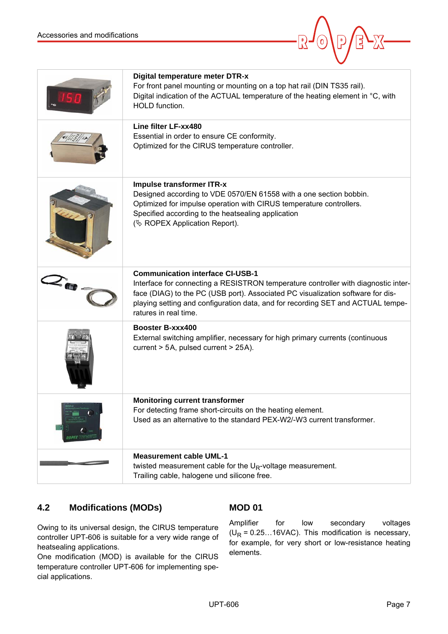<span id="page-6-12"></span><span id="page-6-8"></span><span id="page-6-7"></span><span id="page-6-5"></span><span id="page-6-3"></span>

|           | Digital temperature meter DTR-x<br>For front panel mounting or mounting on a top hat rail (DIN TS35 rail).<br>Digital indication of the ACTUAL temperature of the heating element in °C, with<br>HOLD function.                                                                                                              |
|-----------|------------------------------------------------------------------------------------------------------------------------------------------------------------------------------------------------------------------------------------------------------------------------------------------------------------------------------|
|           | Line filter LF-xx480<br>Essential in order to ensure CE conformity.<br>Optimized for the CIRUS temperature controller.                                                                                                                                                                                                       |
|           | Impulse transformer ITR-x<br>Designed according to VDE 0570/EN 61558 with a one section bobbin.<br>Optimized for impulse operation with CIRUS temperature controllers.<br>Specified according to the heatsealing application<br>( $\&$ ROPEX Application Report).                                                            |
| $z_{w}$ . | <b>Communication interface CI-USB-1</b><br>Interface for connecting a RESISTRON temperature controller with diagnostic inter-<br>face (DIAG) to the PC (USB port). Associated PC visualization software for dis-<br>playing setting and configuration data, and for recording SET and ACTUAL tempe-<br>ratures in real time. |
|           | Booster B-xxx400<br>External switching amplifier, necessary for high primary currents (continuous<br>current > 5A, pulsed current > 25A).                                                                                                                                                                                    |
|           | <b>Monitoring current transformer</b><br>For detecting frame short-circuits on the heating element.<br>Used as an alternative to the standard PEX-W2/-W3 current transformer.                                                                                                                                                |
|           | <b>Measurement cable UML-1</b><br>twisted measurement cable for the $U_R$ -voltage measurement.<br>Trailing cable, halogene und silicone free.                                                                                                                                                                               |

# <span id="page-6-10"></span><span id="page-6-0"></span>**4.2 Modifications (MODs)**

Owing to its universal design, the CIRUS temperature controller UPT-606 is suitable for a very wide range of heatsealing applications.

One modification (MOD) is available for the CIRUS temperature controller UPT-606 for implementing special applications.

# <span id="page-6-11"></span><span id="page-6-9"></span><span id="page-6-6"></span><span id="page-6-4"></span><span id="page-6-2"></span><span id="page-6-1"></span>**MOD 01**

Amplifier for low secondary voltages  $(U_R = 0.25...16VAC)$ . This modification is necessary, for example, for very short or low-resistance heating elements.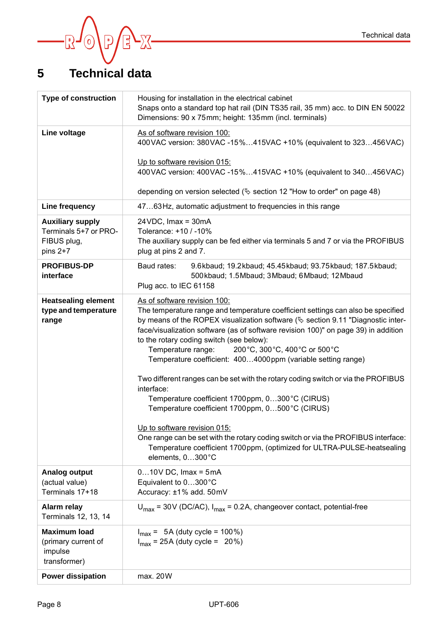

# <span id="page-7-0"></span>**5 Technical data**

<span id="page-7-9"></span><span id="page-7-8"></span><span id="page-7-7"></span><span id="page-7-6"></span><span id="page-7-5"></span><span id="page-7-4"></span><span id="page-7-3"></span><span id="page-7-2"></span><span id="page-7-1"></span>

| <b>Type of construction</b>                                                   | Housing for installation in the electrical cabinet<br>Snaps onto a standard top hat rail (DIN TS35 rail, 35 mm) acc. to DIN EN 50022<br>Dimensions: 90 x 75mm; height: 135mm (incl. terminals)                                                                                                                                                                                                                                                                                                                                                                                                                                                                                                                                                                                                                                                                                                |  |  |  |  |  |  |
|-------------------------------------------------------------------------------|-----------------------------------------------------------------------------------------------------------------------------------------------------------------------------------------------------------------------------------------------------------------------------------------------------------------------------------------------------------------------------------------------------------------------------------------------------------------------------------------------------------------------------------------------------------------------------------------------------------------------------------------------------------------------------------------------------------------------------------------------------------------------------------------------------------------------------------------------------------------------------------------------|--|--|--|--|--|--|
| Line voltage                                                                  | As of software revision 100:<br>400VAC version: 380VAC -15%415VAC +10% (equivalent to 323456VAC)                                                                                                                                                                                                                                                                                                                                                                                                                                                                                                                                                                                                                                                                                                                                                                                              |  |  |  |  |  |  |
|                                                                               | Up to software revision 015:<br>400VAC version: 400VAC -15%415VAC +10% (equivalent to 340456VAC)                                                                                                                                                                                                                                                                                                                                                                                                                                                                                                                                                                                                                                                                                                                                                                                              |  |  |  |  |  |  |
|                                                                               | depending on version selected ( $\&$ section 12 "How to order" on page 48)                                                                                                                                                                                                                                                                                                                                                                                                                                                                                                                                                                                                                                                                                                                                                                                                                    |  |  |  |  |  |  |
| Line frequency                                                                | 4763Hz, automatic adjustment to frequencies in this range                                                                                                                                                                                                                                                                                                                                                                                                                                                                                                                                                                                                                                                                                                                                                                                                                                     |  |  |  |  |  |  |
| <b>Auxiliary supply</b><br>Terminals 5+7 or PRO-<br>FIBUS plug,<br>pins $2+7$ | $24VDC$ , Imax = 30mA<br>Tolerance: +10 / -10%<br>The auxiliary supply can be fed either via terminals 5 and 7 or via the PROFIBUS<br>plug at pins 2 and 7.                                                                                                                                                                                                                                                                                                                                                                                                                                                                                                                                                                                                                                                                                                                                   |  |  |  |  |  |  |
| <b>PROFIBUS-DP</b><br>interface                                               | Baud rates:<br>9.6kbaud; 19.2kbaud; 45.45kbaud; 93.75kbaud; 187.5kbaud;<br>500kbaud; 1.5Mbaud; 3Mbaud; 6Mbaud; 12Mbaud<br>Plug acc. to IEC 61158                                                                                                                                                                                                                                                                                                                                                                                                                                                                                                                                                                                                                                                                                                                                              |  |  |  |  |  |  |
| <b>Heatsealing element</b><br>type and temperature<br>range                   | As of software revision 100:<br>The temperature range and temperature coefficient settings can also be specified<br>by means of the ROPEX visualization software ( $\&$ section 9.11 "Diagnostic inter-<br>face/visualization software (as of software revision 100)" on page 39) in addition<br>to the rotary coding switch (see below):<br>Temperature range:<br>200°C, 300°C, 400°C or 500°C<br>Temperature coefficient: 4004000ppm (variable setting range)<br>Two different ranges can be set with the rotary coding switch or via the PROFIBUS<br>interface:<br>Temperature coefficient 1700ppm, 0300°C (CIRUS)<br>Temperature coefficient 1700ppm, 0500°C (CIRUS)<br>Up to software revision 015:<br>One range can be set with the rotary coding switch or via the PROFIBUS interface:<br>Temperature coefficient 1700 ppm, (optimized for ULTRA-PULSE-heatsealing<br>elements, 0300°C |  |  |  |  |  |  |
| <b>Analog output</b><br>(actual value)<br>Terminals 17+18                     | $010V$ DC, Imax = 5mA<br>Equivalent to 0300°C<br>Accuracy: ±1% add. 50mV                                                                                                                                                                                                                                                                                                                                                                                                                                                                                                                                                                                                                                                                                                                                                                                                                      |  |  |  |  |  |  |
| Alarm relay<br>Terminals 12, 13, 14                                           | $U_{\text{max}}$ = 30V (DC/AC), $I_{\text{max}}$ = 0.2A, changeover contact, potential-free                                                                                                                                                                                                                                                                                                                                                                                                                                                                                                                                                                                                                                                                                                                                                                                                   |  |  |  |  |  |  |
| <b>Maximum load</b><br>(primary current of<br>impulse<br>transformer)         | $I_{max}$ = 5A (duty cycle = 100%)<br>$I_{\text{max}}$ = 25A (duty cycle = 20%)                                                                                                                                                                                                                                                                                                                                                                                                                                                                                                                                                                                                                                                                                                                                                                                                               |  |  |  |  |  |  |
| <b>Power dissipation</b>                                                      | max. 20W                                                                                                                                                                                                                                                                                                                                                                                                                                                                                                                                                                                                                                                                                                                                                                                                                                                                                      |  |  |  |  |  |  |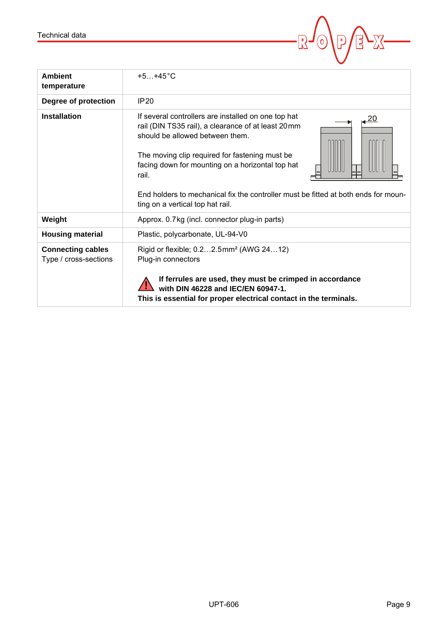<span id="page-8-2"></span><span id="page-8-1"></span><span id="page-8-0"></span>

| Technical data                                    |                                                                                                                                                                                                                                                                                                                                                                                       |
|---------------------------------------------------|---------------------------------------------------------------------------------------------------------------------------------------------------------------------------------------------------------------------------------------------------------------------------------------------------------------------------------------------------------------------------------------|
|                                                   |                                                                                                                                                                                                                                                                                                                                                                                       |
| <b>Ambient</b><br>temperature                     | $+5+45^{\circ}C$                                                                                                                                                                                                                                                                                                                                                                      |
| Degree of protection                              | IP20                                                                                                                                                                                                                                                                                                                                                                                  |
| <b>Installation</b>                               | If several controllers are installed on one top hat<br>rail (DIN TS35 rail), a clearance of at least 20mm<br>should be allowed between them.<br>The moving clip required for fastening must be<br>facing down for mounting on a horizontal top hat<br>rail.<br>End holders to mechanical fix the controller must be fitted at both ends for moun-<br>ting on a vertical top hat rail. |
| Weight                                            | Approx. 0.7 kg (incl. connector plug-in parts)                                                                                                                                                                                                                                                                                                                                        |
| <b>Housing material</b>                           | Plastic, polycarbonate, UL-94-V0                                                                                                                                                                                                                                                                                                                                                      |
| <b>Connecting cables</b><br>Type / cross-sections | Rigid or flexible; 0.22.5mm <sup>2</sup> (AWG 2412)<br>Plug-in connectors<br>If ferrules are used, they must be crimped in accordance<br>with DIN 46228 and IEC/EN 60947-1.<br>This is essential for proper electrical contact in the terminals.                                                                                                                                      |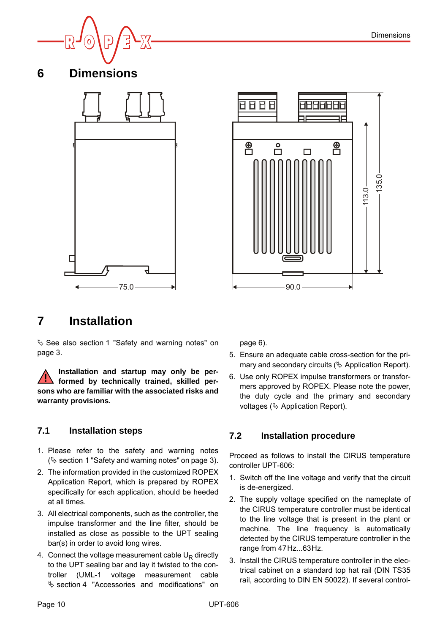

<span id="page-9-0"></span>**6 Dimensions**

<span id="page-9-4"></span>



# <span id="page-9-5"></span><span id="page-9-1"></span>**7 Installation**

 See also [section 1 "Safety and warning notes" on](#page-2-0) [page 3](#page-2-0).

**Installation and startup may only be performed by technically trained, skilled persons who are familiar with the associated risks and warranty provisions. !**

## <span id="page-9-2"></span>**7.1 Installation steps**

- 1. Please refer to the safety and warning notes  $(\&$  [section 1 "Safety and warning notes" on page 3](#page-2-0)).
- 2. The information provided in the customized ROPEX Application Report, which is prepared by ROPEX specifically for each application, should be heeded at all times.
- 3. All electrical components, such as the controller, the impulse transformer and the line filter, should be installed as close as possible to the UPT sealing bar(s) in order to avoid long wires.
- 4. Connect the voltage measurement cable  $U_R$  directly to the UPT sealing bar and lay it twisted to the controller (UML-1 voltage measurement cable  $\%$  [section 4 "Accessories and modifications" on](#page-5-2)

[page 6](#page-5-2)).

- 5. Ensure an adequate cable cross-section for the primary and secondary circuits ( $\&$  Application Report).
- 6. Use only ROPEX impulse transformers or transformers approved by ROPEX. Please note the power, the duty cycle and the primary and secondary voltages ( $\&$  Application Report).

## <span id="page-9-6"></span><span id="page-9-3"></span>**7.2 Installation procedure**

Proceed as follows to install the CIRUS temperature controller UPT-606:

- 1. Switch off the line voltage and verify that the circuit is de-energized.
- 2. The supply voltage specified on the nameplate of the CIRUS temperature controller must be identical to the line voltage that is present in the plant or machine. The line frequency is automatically detected by the CIRUS temperature controller in the range from 47Hz...63Hz.
- 3. Install the CIRUS temperature controller in the electrical cabinet on a standard top hat rail (DIN TS35 rail, according to DIN EN 50022). If several control-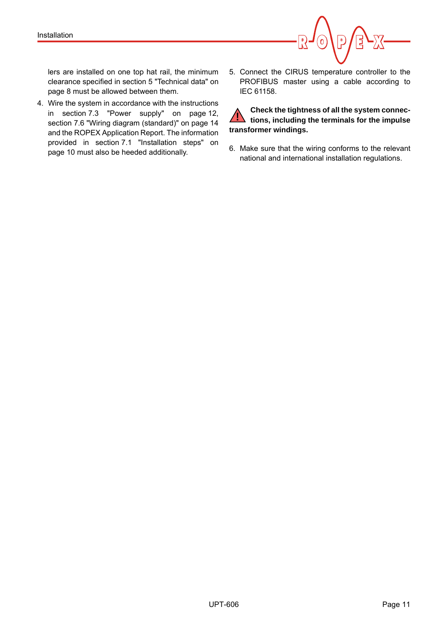<span id="page-10-1"></span>

lers are installed on one top hat rail, the minimum clearance specified in [section 5 "Technical data" on](#page-7-0) [page 8](#page-7-0) must be allowed between them.

- <span id="page-10-0"></span>4. Wire the system in accordance with the instructions in [section 7.3 "Power supply" on page 12,](#page-11-0) [section 7.6 "Wiring diagram \(standard\)" on page 14](#page-13-0) and the ROPEX Application Report. The information provided in [section 7.1 "Installation steps" on](#page-9-2) [page 10](#page-9-2) must also be heeded additionally.
- 5. Connect the CIRUS temperature controller to the PROFIBUS master using a cable according to IEC 61158.

**Check the tightness of all the system connecthe state of the impulse** of the impulse tions, including the terminals for the impulse **transformer windings.**

<span id="page-10-2"></span>6. Make sure that the wiring conforms to the relevant national and international installation regulations.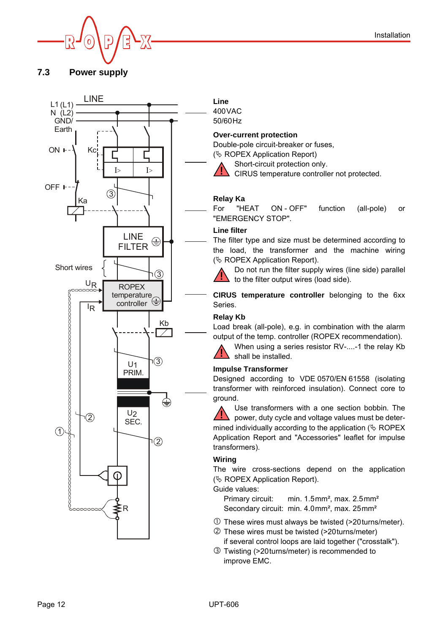

#### <span id="page-11-6"></span><span id="page-11-0"></span>**7.3 Power supply**



**Line** 400VAC 50/60Hz

#### <span id="page-11-5"></span>**Over-current protection**

Double-pole circuit-breaker or fuses, ( $\&$  ROPEX Application Report)



<span id="page-11-2"></span><span id="page-11-1"></span>Short-circuit protection only.

CIRUS temperature controller not protected. **!**

#### **Relay Ka**

For "HEAT ON - OFF" function (all-pole) or "EMERGENCY STOP".

#### <span id="page-11-4"></span>**Line filter**

The filter type and size must be determined according to the load, the transformer and the machine wiring ( $\&$  ROPEX Application Report).

Do not run the filter supply wires (line side) parallel to the filter output wires (load side). **!**

**CIRUS temperature controller** belonging to the 6xx Series.

#### **Relay Kb**

Load break (all-pole), e.g. in combination with the alarm output of the temp. controller (ROPEX recommendation).

<span id="page-11-7"></span>When using a series resistor RV-....-1 the relay Kb shall be installed. **!**

#### <span id="page-11-3"></span>**Impulse Transformer**

Designed according to VDE 0570/EN 61558 (isolating transformer with reinforced insulation). Connect core to ground.

Use transformers with a one section bobbin. The power, duty cycle and voltage values must be determined individually according to the application  $(\&$  ROPEX Application Report and "Accessories" leaflet for impulse transformers). **!**

#### <span id="page-11-8"></span>**Wiring**

The wire cross-sections depend on the application  $(\&$  ROPEX Application Report).

Guide values:

Primary circuit: min. 1.5mm², max. 2.5mm² Secondary circuit: min. 4.0mm<sup>2</sup>, max. 25mm<sup>2</sup>

- These wires must always be twisted (>20turns/meter).
- These wires must be twisted (>20turns/meter) if several control loops are laid together ("crosstalk").
- Twisting (>20turns/meter) is recommended to improve EMC.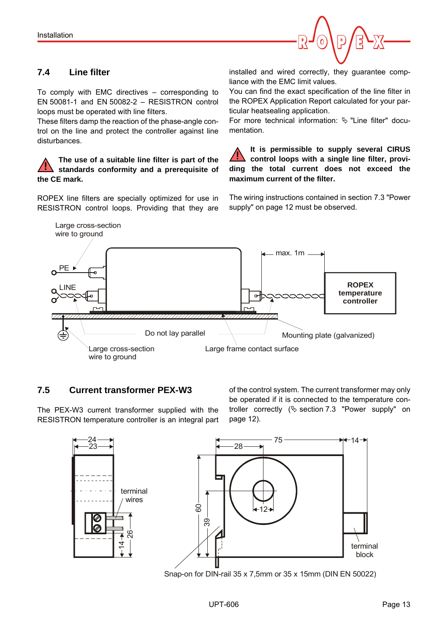

# <span id="page-12-4"></span><span id="page-12-0"></span>**7.4 Line filter**

To comply with EMC directives – corresponding to EN 50081-1 and EN 50082-2 – RESISTRON control loops must be operated with line filters.

These filters damp the reaction of the phase-angle control on the line and protect the controller against line disturbances.

#### **The use of a suitable line filter is part of the standards conformity and a prerequisite of the CE mark. !**

ROPEX line filters are specially optimized for use in RESISTRON control loops. Providing that they are installed and wired correctly, they guarantee compliance with the EMC limit values.

<span id="page-12-2"></span>You can find the exact specification of the line filter in the ROPEX Application Report calculated for your particular heatsealing application.

For more technical information:  $\%$  "Line filter" documentation.

**It is permissible to supply several CIRUS control loops with a single line filter, providing the total current does not exceed the maximum current of the filter. !**

The wiring instructions contained in section 7.3 "Power supply" on page 12 must be observed.



## <span id="page-12-3"></span><span id="page-12-1"></span>**7.5 Current transformer PEX-W3**

The PEX-W3 current transformer supplied with the RESISTRON temperature controller is an integral part <span id="page-12-5"></span>of the control system. The current transformer may only be operated if it is connected to the temperature controller correctly  $(\xi)$  section 7.3 "Power supply" on page 12).



Snap-on for DIN-rail 35 x 7,5mm or 35 x 15mm (DIN EN 50022)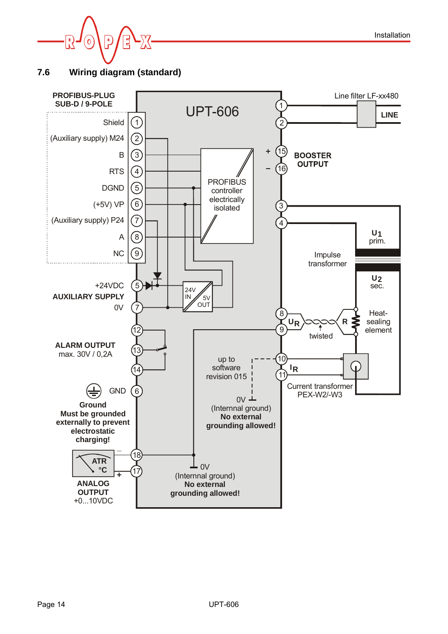

<span id="page-13-1"></span><span id="page-13-0"></span>**7.6 Wiring diagram (standard)**

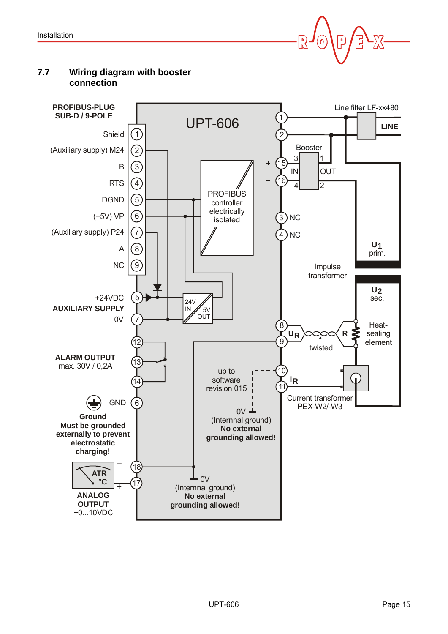

# <span id="page-14-2"></span><span id="page-14-1"></span><span id="page-14-0"></span>**7.7 Wiring diagram with booster connection**

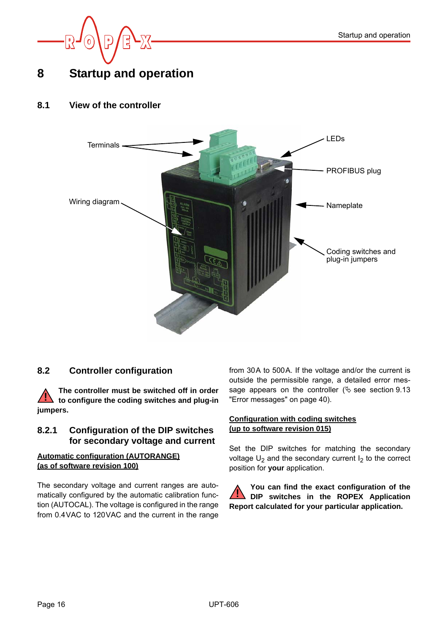

# <span id="page-15-8"></span><span id="page-15-0"></span>**8 Startup and operation**

## <span id="page-15-1"></span>**8.1 View of the controller**

<span id="page-15-9"></span>

## <span id="page-15-4"></span><span id="page-15-2"></span>**8.2 Controller configuration**

**The controller must be switched off in order i** to configure the coding switches and plug-in **jumpers.**

#### **8.2.1 Configuration of the DIP switches for secondary voltage and current**

#### **Automatic configuration (AUTORANGE) (as of software revision 100)**

The secondary voltage and current ranges are automatically configured by the automatic calibration function (AUTOCAL). The voltage is configured in the range from 0.4VAC to 120VAC and the current in the range from 30A to 500A. If the voltage and/or the current is outside the permissible range, a detailed error message appears on the controller ( $\&$  see [section 9.13](#page-39-0) ["Error messages" on page 40](#page-39-0)).

#### **Configuration with coding switches (up to software revision 015)**

<span id="page-15-7"></span><span id="page-15-6"></span><span id="page-15-5"></span>Set the DIP switches for matching the secondary voltage  $U_2$  and the secondary current  $I_2$  to the correct position for **your** application.

<span id="page-15-3"></span>**You can find the exact configuration of the DIP switches in the ROPEX Application Report calculated for your particular application. !**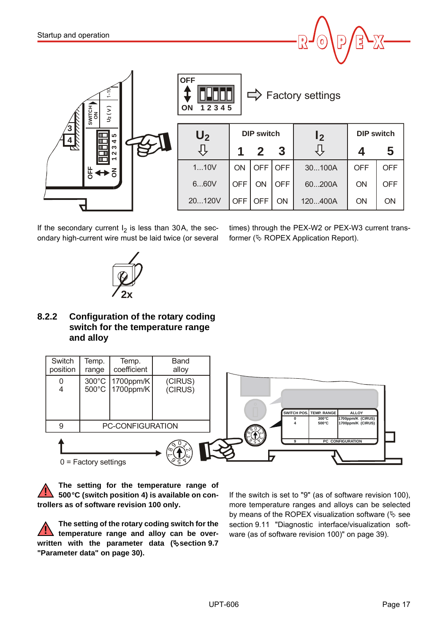

If the secondary current  $I_2$  is less than 30A, the secondary high-current wire must be laid twice (or several times) through the PEX-W2 or PEX-W3 current transformer ( $\&$  ROPEX Application Report).

<span id="page-16-1"></span>

<span id="page-16-0"></span>**8.2.2 Configuration of the rotary coding switch for the temperature range and alloy**



**The setting for the temperature range of 500°C (switch position 4) is available on controllers as of software revision 100 only. !**

**The setting of the rotary coding switch for the temperature range and alloy can be overwritten with the parameter data ([section 9.7](#page-29-0) ["Parameter data" on page 30](#page-29-0)). !**

If the switch is set to "9" (as of software revision 100), more temperature ranges and alloys can be selected by means of the ROPEX visualization software ( $\&$  see [section 9.11 "Diagnostic interface/visualization soft](#page-38-0)[ware \(as of software revision 100\)" on page 39\)](#page-38-0).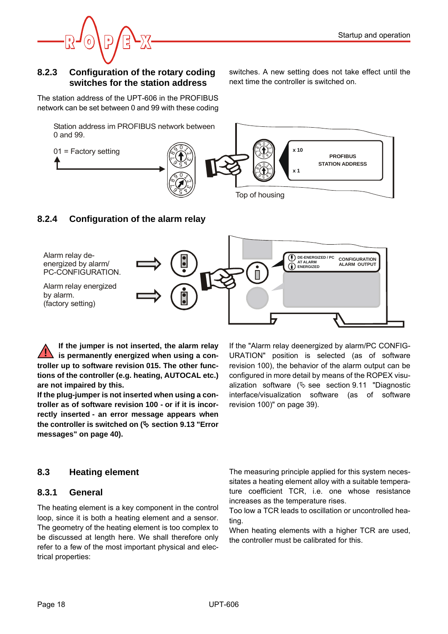

#### **8.2.3 Configuration of the rotary coding switches for the station address**

switches. A new setting does not take effect until the next time the controller is switched on.

The station address of the UPT-606 in the PROFIBUS network can be set between 0 and 99 with these coding



# <span id="page-17-2"></span><span id="page-17-1"></span>**8.2.4 Configuration of the alarm relay**



**If the jumper is not inserted, the alarm relay is permanently energized when using a controller up to software revision 015. The other functions of the controller (e.g. heating, AUTOCAL etc.) are not impaired by this. !**

**If the plug-jumper is not inserted when using a controller as of software revision 100 - or if it is incorrectly inserted - an error message appears when the controller is switched on ( [section 9.13 "Error](#page-39-0) [messages" on page 40\)](#page-39-0).**

## <span id="page-17-3"></span><span id="page-17-0"></span>**8.3 Heating element**

#### **8.3.1 General**

The heating element is a key component in the control loop, since it is both a heating element and a sensor. The geometry of the heating element is too complex to be discussed at length here. We shall therefore only refer to a few of the most important physical and electrical properties:

If the "Alarm relay deenergized by alarm/PC CONFIG-URATION" position is selected (as of software revision 100), the behavior of the alarm output can be configured in more detail by means of the ROPEX visualization software  $(\frac{1}{2})$  see [section 9.11 "Diagnostic](#page-38-0) [interface/visualization software \(as of software](#page-38-0) [revision 100\)" on page 39](#page-38-0)).

<span id="page-17-5"></span><span id="page-17-4"></span>The measuring principle applied for this system necessitates a heating element alloy with a suitable temperature coefficient TCR, i.e. one whose resistance increases as the temperature rises.

Too low a TCR leads to oscillation or uncontrolled heating.

When heating elements with a higher TCR are used. the controller must be calibrated for this.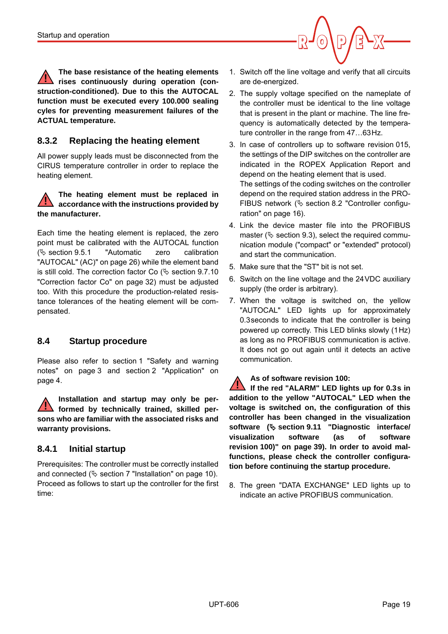

**The base resistance of the heating elements rises continuously during operation (construction-conditioned). Due to this the AUTOCAL function must be executed every 100.000 sealing cyles for preventing measurement failures of the ACTUAL temperature. !**

## <span id="page-18-1"></span>**8.3.2 Replacing the heating element**

All power supply leads must be disconnected from the CIRUS temperature controller in order to replace the heating element.

#### **The heating element must be replaced in accordance with the instructions provided by the manufacturer. !**

Each time the heating element is replaced, the zero point must be calibrated with the AUTOCAL function  $(\&$  [section 9.5.1 "Automatic zero calibration](#page-25-1) ["AUTOCAL" \(AC\)" on page 26\)](#page-25-1) while the element band is still cold. The correction factor Co ( $\&$  [section 9.7.10](#page-31-0) ["Correction factor Co" on page 32](#page-31-0)) must be adjusted too. With this procedure the production-related resistance tolerances of the heating element will be compensated.

## <span id="page-18-0"></span>**8.4 Startup procedure**

Please also refer to [section 1 "Safety and warning](#page-2-0) [notes" on page 3](#page-2-0) and [section 2 "Application" on](#page-3-2) [page 4](#page-3-2).

**Installation and startup may only be performed by technically trained, skilled persons who are familiar with the associated risks and warranty provisions. !**

## **8.4.1 Initial startup**

Prerequisites: The controller must be correctly installed and connected ( $\&$  [section 7 "Installation" on page 10](#page-9-1)). Proceed as follows to start up the controller for the first time:

- 1. Switch off the line voltage and verify that all circuits are de-energized.
- 2. The supply voltage specified on the nameplate of the controller must be identical to the line voltage that is present in the plant or machine. The line frequency is automatically detected by the temperature controller in the range from 47…63Hz.
- 3. In case of controllers up to software revision 015, the settings of the DIP switches on the controller are indicated in the ROPEX Application Report and depend on the heating element that is used. The settings of the coding switches on the controller depend on the required station address in the PRO-FIBUS network ( $\&$  [section 8.2 "Controller configu](#page-15-2)[ration" on page 16](#page-15-2)).
- 4. Link the device master file into the PROFIBUS master ( $\&$  section [9.3\)](#page-22-1), select the required communication module ("compact" or "extended" protocol) and start the communication.
- 5. Make sure that the "ST" bit is not set.
- 6. Switch on the line voltage and the 24VDC auxiliary supply (the order is arbitrary).
- 7. When the voltage is switched on, the yellow "AUTOCAL" LED lights up for approximately 0.3seconds to indicate that the controller is being powered up correctly. This LED blinks slowly (1Hz) as long as no PROFIBUS communication is active. It does not go out again until it detects an active communication.

#### **As of software revision 100:**

**If the red "ALARM" LED lights up for 0.3s in addition to the yellow "AUTOCAL" LED when the voltage is switched on, the configuration of this controller has been changed in the visualization software ( [section 9.11 "Diagnostic interface/](#page-38-0) [visualization software \(as of software](#page-38-0) [revision 100\)" on page 39](#page-38-0)). In order to avoid malfunctions, please check the controller configuration before continuing the startup procedure. !**

8. The green "DATA EXCHANGE" LED lights up to indicate an active PROFIBUS communication.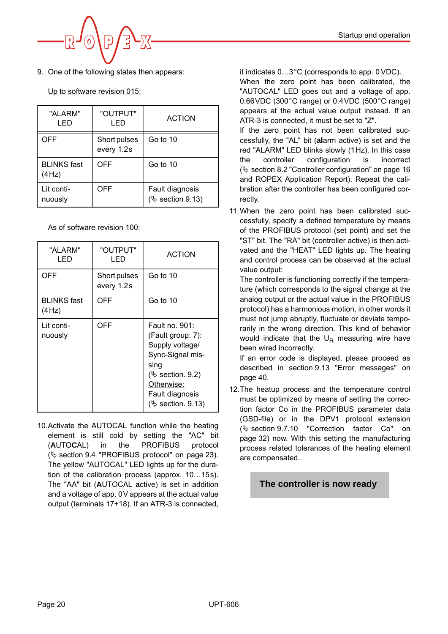9. One of the following states then appears:

# Up to software revision 015:

| "ALARM"<br>I ED             | "OUTPUT"<br>I FD           | <b>ACTION</b>                          |
|-----------------------------|----------------------------|----------------------------------------|
| OFF                         | Short pulses<br>every 1.2s | Go to 10                               |
| <b>BLINKS</b> fast<br>(4Hz) | OFF                        | Go to 10                               |
| Lit conti-<br>nuously       | OFF                        | Fault diagnosis<br>$(\&$ section 9.13) |

As of software revision 100:

| "ALARM"<br>I ED             | "OUTPUT"<br>LED            | <b>ACTION</b>                                                                                                                                                              |
|-----------------------------|----------------------------|----------------------------------------------------------------------------------------------------------------------------------------------------------------------------|
| OFF                         | Short pulses<br>every 1.2s | Go to 10                                                                                                                                                                   |
| <b>BLINKS</b> fast<br>(4Hz) | OFF                        | Go to 10                                                                                                                                                                   |
| Lit conti-<br>nuously       | OFF                        | <u> Fault no. 901:</u><br>(Fault group: 7):<br>Supply voltage/<br>Sync-Signal mis-<br>sing<br>$(\&$ section. 9.2)<br>Otherwise:<br>Fault diagnosis<br>$(\&$ section. 9.13) |

<span id="page-19-2"></span><span id="page-19-0"></span>10.Activate the AUTOCAL function while the heating element is still cold by setting the "AC" bit (**A**UTO**C**AL) in the PROFIBUS protocol ( $\%$  [section 9.4 "PROFIBUS protocol" on page 23](#page-22-2)). The yellow "AUTOCAL" LED lights up for the duration of the calibration process (approx. 10…15s). The "AA" bit (**A**UTOCAL **a**ctive) is set in addition and a voltage of app. 0V appears at the actual value output (terminals 17+18). If an ATR-3 is connected,

it indicates 0…3°C (corresponds to app. 0 VDC). When the zero point has been calibrated, the "AUTOCAL" LED goes out and a voltage of app. 0.66VDC (300°C range) or 0.4VDC (500°C range) appears at the actual value output instead. If an ATR-3 is connected, it must be set to "Z".

<span id="page-19-1"></span>If the zero point has not been calibrated successfully, the "AL" bit (**al**arm active) is set and the red "ALARM" LED blinks slowly (1Hz). In this case the controller configuration is incorrect ( $\%$  [section 8.2 "Controller configuration" on page 16](#page-15-2) and ROPEX Application Report). Repeat the calibration after the controller has been configured correctly.

<span id="page-19-4"></span><span id="page-19-3"></span>11.When the zero point has been calibrated successfully, specify a defined temperature by means of the PROFIBUS protocol (set point) and set the "ST" bit. The "RA" bit (controller active) is then activated and the "HEAT" LED lights up. The heating and control process can be observed at the actual value output:

The controller is functioning correctly if the temperature (which corresponds to the signal change at the analog output or the actual value in the PROFIBUS protocol) has a harmonious motion, in other words it must not jump abruptly, fluctuate or deviate temporarily in the wrong direction. This kind of behavior would indicate that the  $U_R$  measuring wire have been wired incorrectly.

If an error code is displayed, please proceed as described in [section 9.13 "Error messages" on](#page-39-0) [page 40.](#page-39-0)

12.The heatup process and the temperature control must be optimized by means of setting the correction factor Co in the PROFIBUS parameter data (GSD-file) or in the DPV1 protocol extension  $(\&$  [section 9.7.10 "Correction factor Co" on](#page-31-0) [page 32\)](#page-31-0) now. With this setting the manufacturing process related tolerances of the heating element are compensated..

# **The controller is now ready**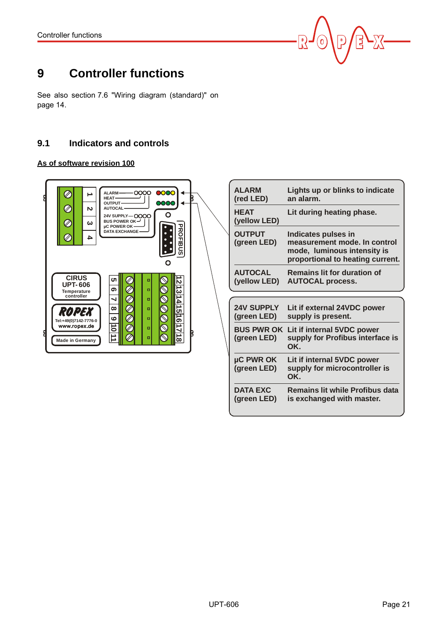

# <span id="page-20-0"></span>**9 Controller functions**

See also [section 7.6 "Wiring diagram \(standard\)" on](#page-13-0) [page 14.](#page-13-0)

## <span id="page-20-1"></span>**9.1 Indicators and controls**

#### **As of software revision 100**

| <b>0000</b><br>0000<br>ALARM-<br>HEAT-<br>DOO<br>OUTPUT-<br><b>AUTOCAL-</b><br>N<br>O<br>24V SUPPLY-OOOO<br>BUS POWER OK $-$<br>ω<br>µC POWER OK-<br><b>PROFIBUS</b><br><b>DATA EXCHANGE</b><br>▵                                                                                                                     | B |
|-----------------------------------------------------------------------------------------------------------------------------------------------------------------------------------------------------------------------------------------------------------------------------------------------------------------------|---|
| <b>CIRUS</b><br>ပာ<br>۰<br>N<br><b>UPT-606</b><br>ಕ<br>თ<br>o<br>Temperature<br>controller<br>h H<br>J<br>۰<br><u>ក្នុ</u><br>$\infty$<br>$\Box$<br><b>ROPEX</b><br>ဖ<br>o<br>Tel:+49(0)7142-7776-0<br>σ<br>٥L<br>www.ropex.de<br>$\Box$<br>$\overline{\phantom{a}}$<br>۰<br>$\dot{\infty}$<br><b>Made in Germany</b> | R |

| <b>ALARM</b><br>(red LED)        | Lights up or blinks to indicate<br>an alarm.                                                                           |
|----------------------------------|------------------------------------------------------------------------------------------------------------------------|
| <b>HEAT</b><br>(yellow LED)      | Lit during heating phase.                                                                                              |
| <b>OUTPUT</b><br>(green LED)     | Indicates pulses in<br>measurement mode. In control<br>mode, luminous intensity is<br>proportional to heating current. |
| <b>AUTOCAL</b><br>(yellow LED)   | <b>Remains lit for duration of</b><br><b>AUTOCAL process.</b>                                                          |
|                                  |                                                                                                                        |
|                                  |                                                                                                                        |
| <b>24V SUPPLY</b><br>(green LED) | Lit if external 24VDC power<br>supply is present.                                                                      |
| <b>BUS PWR OK</b><br>(green LED) | Lit if internal 5VDC power<br>supply for Profibus interface is<br>OK.                                                  |
| µC PWR OK<br>(green LED)         | Lit if internal 5VDC power<br>supply for microcontroller is<br>OK.                                                     |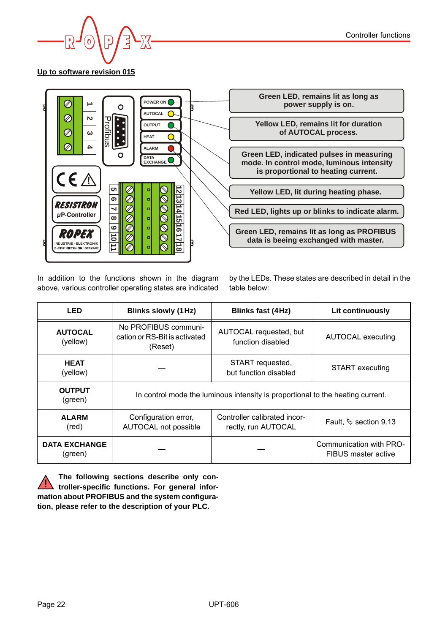

**Up to software revision 015**



In addition to the functions shown in the diagram above, various controller operating states are indicated

by the LEDs. These states are described in detail in the table below:

| <b>LED</b>                      | <b>Blinks slowly (1 Hz)</b>                                      | <b>Blinks fast (4Hz)</b>                                                       | Lit continuously                               |  |  |
|---------------------------------|------------------------------------------------------------------|--------------------------------------------------------------------------------|------------------------------------------------|--|--|
| <b>AUTOCAL</b><br>(yellow)      | No PROFIBUS communi-<br>cation or RS-Bit is activated<br>(Reset) | AUTOCAL requested, but<br>function disabled                                    | AUTOCAL executing                              |  |  |
| <b>HEAT</b><br>(yellow)         |                                                                  | START requested,<br>but function disabled                                      | <b>START</b> executing                         |  |  |
| <b>OUTPUT</b><br>(green)        |                                                                  | In control mode the luminous intensity is proportional to the heating current. |                                                |  |  |
| <b>ALARM</b><br>(red)           | Configuration error,<br>AUTOCAL not possible                     | Controller calibrated incor-<br>rectly, run AUTOCAL                            | Fault, $\&$ section 9.13                       |  |  |
| <b>DATA EXCHANGE</b><br>(green) |                                                                  |                                                                                | Communication with PRO-<br>FIBUS master active |  |  |

**The following sections describe only controller-specific functions. For general information about PROFIBUS and the system configuration, please refer to the description of your PLC. !**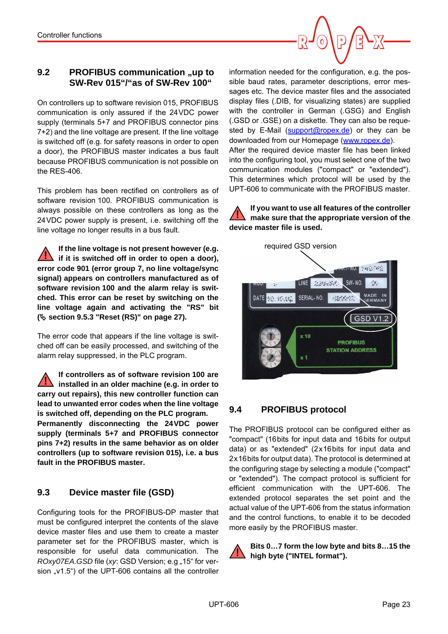## <span id="page-22-0"></span>**9.2** PROFIBUS communication "up to **SW-Rev 015"/"as of SW-Rev 100"**

On controllers up to software revision 015, PROFIBUS communication is only assured if the 24VDC power supply (terminals 5+7 and PROFIBUS connector pins 7+2) and the line voltage are present. If the line voltage is switched off (e.g. for safety reasons in order to open a door), the PROFIBUS master indicates a bus fault because PROFIBUS communication is not possible on the RES-406.

This problem has been rectified on controllers as of software revision 100. PROFIBUS communication is always possible on these controllers as long as the 24VDC power supply is present, i.e. switching off the line voltage no longer results in a bus fault.

**If the line voltage is not present however (e.g. if it is switched off in order to open a door), error code 901 (error group 7, no line voltage/sync signal) appears on controllers manufactured as of software revision 100 and the alarm relay is switched. This error can be reset by switching on the line voltage again and activating the "RS" bit ( [section 9.5.3 "Reset \(RS\)" on page 27](#page-26-0)). !**

The error code that appears if the line voltage is switched off can be easily processed, and switching of the alarm relay suppressed, in the PLC program.

**If controllers as of software revision 100 are installed in an older machine (e.g. in order to carry out repairs), this new controller function can lead to unwanted error codes when the line voltage is switched off, depending on the PLC program. Permanently disconnecting the 24VDC power supply (terminals 5+7 and PROFIBUS connector pins 7+2) results in the same behavior as on older controllers (up to software revision 015), i.e. a bus fault in the PROFIBUS master. !**

## <span id="page-22-3"></span><span id="page-22-1"></span>**9.3 Device master file (GSD)**

Configuring tools for the PROFIBUS-DP master that must be configured interpret the contents of the slave device master files and use them to create a master parameter set for the PROFIBUS master, which is responsible for useful data communication. The *ROxy07EA.GSD* file (*xy*: GSD Version; e.g "15" for version "v1.5") of the UPT-606 contains all the controller

information needed for the configuration, e.g. the possible baud rates, parameter descriptions, error messages etc. The device master files and the associated display files (.DIB, for visualizing states) are supplied with the controller in German (.GSG) and English (.GSD or .GSE) on a diskette. They can also be requested by E-Mail ([support@ropex.de\)](mailto:support@ropex.de) or they can be downloaded from our Homepage [\(www.ropex.de\)](http://www.ropex.de  ).

After the required device master file has been linked into the configuring tool, you must select one of the two communication modules ("compact" or "extended"). This determines which protocol will be used by the UPT-606 to communicate with the PROFIBUS master.

**If you want to use all features of the controller make sure that the appropriate version of the device master file is used. !**



# <span id="page-22-2"></span>**9.4 PROFIBUS protocol**

<span id="page-22-4"></span>The PROFIBUS protocol can be configured either as "compact" (16bits for input data and 16bits for output data) or as "extended" (2x16bits for input data and 2x16bits for output data). The protocol is determined at the configuring stage by selecting a module ("compact" or "extended"). The compact protocol is sufficient for efficient communication with the UPT-606. The extended protocol separates the set point and the actual value of the UPT-606 from the status information and the control functions, to enable it to be decoded more easily by the PROFIBUS master.

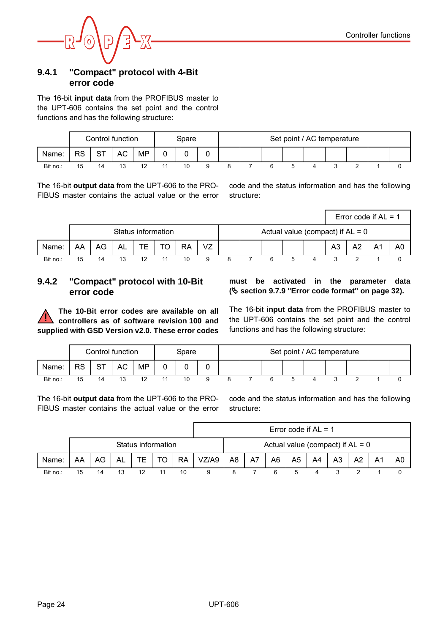

#### <span id="page-23-1"></span>**9.4.1 "Compact" protocol with 4-Bit error code**

The 16-bit **input data** from the PROFIBUS master to the UPT-606 contains the set point and the control functions and has the following structure:

|          | Control function |    |    | Spare |    | Set point / AC temperature |  |  |  |  |  |  |  |
|----------|------------------|----|----|-------|----|----------------------------|--|--|--|--|--|--|--|
| Name:    | RS               | ST | АC | MP    |    | ັ                          |  |  |  |  |  |  |  |
| Bit no.: | 15               |    |    |       | 10 |                            |  |  |  |  |  |  |  |

The 16-bit **output data** from the UPT-606 to the PRO-FIBUS master contains the actual value or the error

code and the status information and has the following structure:

|          |    |    |    |                    |    |           |    |  |  |                                    |    | Error code if $AL = 1$ |    |
|----------|----|----|----|--------------------|----|-----------|----|--|--|------------------------------------|----|------------------------|----|
|          |    |    |    | Status information |    |           |    |  |  | Actual value (compact) if $AL = 0$ |    |                        |    |
| Name:    | AA | AG | AL |                    | TO | <b>RA</b> | VZ |  |  | A3                                 | A2 | Α1                     | A0 |
| Bit no.: | 15 |    |    | ィっ                 |    | 10        |    |  |  |                                    |    |                        |    |

## <span id="page-23-0"></span>**9.4.2 "Compact" protocol with 10-Bit error code**

**The 10-Bit error codes are available on all controllers as of software revision 100 and supplied with GSD Version v2.0. These error codes !**

**must be activated in the parameter data ( [section 9.7.9 "Error code format" on page 32](#page-31-1)).**

The 16-bit **input data** from the PROFIBUS master to the UPT-606 contains the set point and the control functions and has the following structure:

|          |    | Control function |    |    | Spare |  |  | Set point / AC temperature |  |  |
|----------|----|------------------|----|----|-------|--|--|----------------------------|--|--|
| Name:    | RS | oт<br>ا ب        | АC | MP |       |  |  |                            |  |  |
| Bit no.: | 15 |                  |    |    | 10    |  |  |                            |  |  |

The 16-bit **output data** from the UPT-606 to the PRO-FIBUS master contains the actual value or the error code and the status information and has the following structure:

|          |    |    |    |    |                    |           |       |    |    |    |                | Error code if $AL = 1$ |                                    |                |                |    |
|----------|----|----|----|----|--------------------|-----------|-------|----|----|----|----------------|------------------------|------------------------------------|----------------|----------------|----|
|          |    |    |    |    | Status information |           |       |    |    |    |                |                        | Actual value (compact) if $AL = 0$ |                |                |    |
| Name:    | AA | AG | AL | TЕ | TO                 | <b>RA</b> | VZ/A9 | A8 | A7 | A6 | A <sub>5</sub> | A4                     | A <sub>3</sub>                     | A <sub>2</sub> | A <sup>1</sup> | A0 |
| Bit no.: | 15 |    | 13 | ィウ |                    | 10        |       |    |    |    | 5              |                        |                                    |                |                |    |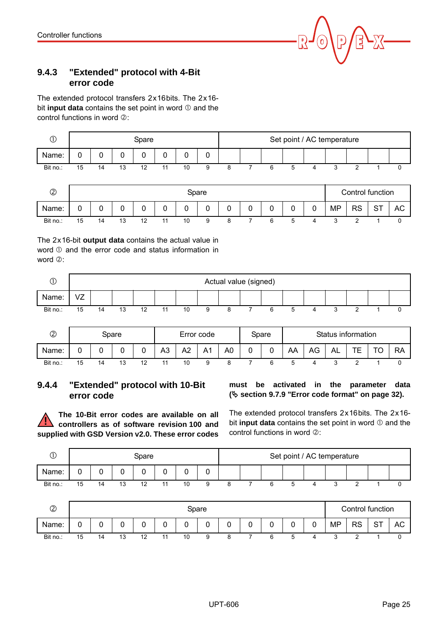

## <span id="page-24-1"></span>**9.4.3 "Extended" protocol with 4-Bit error code**

The extended protocol transfers 2x16bits. The 2x16bit **input data** contains the set point in word  $\mathbb O$  and the control functions in word  $@$ :

| $\odot$       |    |    |    | Spare |    |    |       |   |   |   |   |   | Set point / AC temperature |                  |           |    |
|---------------|----|----|----|-------|----|----|-------|---|---|---|---|---|----------------------------|------------------|-----------|----|
| Name:         | 0  | 0  | 0  | 0     |    | 0  | 0     |   |   |   |   |   |                            |                  |           |    |
| Bit no.:      | 15 | 14 | 13 | 12    | 11 | 10 | 9     | 8 |   | 6 | 5 | 4 | 3                          | 2                |           | 0  |
| $\circled{2}$ |    |    |    |       |    |    | Spare |   |   |   |   |   |                            | Control function |           |    |
| Name:         | 0  | 0  | 0  | 0     | 0  | 0  | 0     | 0 | 0 | 0 | 0 | 0 | <b>MP</b>                  | <b>RS</b>        | <b>ST</b> | AC |

Bit no.: 15 14 13 12 11 10 9 8 7 6 5 4 3 2 1 0

The 2x16-bit **output data** contains the actual value in word  $\odot$  and the error code and status information in word  $@:$ 

| ◡        |    |    |    |    |    |    |   | Actual value (signed) |  |  |  |  |
|----------|----|----|----|----|----|----|---|-----------------------|--|--|--|--|
| Name:    | VZ |    |    |    |    |    |   |                       |  |  |  |  |
| Bit no.: | 15 | 14 | 13 | 12 | 44 | 10 | 9 |                       |  |  |  |  |

| $\circledZ$ | Spare |  |   |                |                |    | Error code |    | Spare |    |    |     | Status information |   |           |
|-------------|-------|--|---|----------------|----------------|----|------------|----|-------|----|----|-----|--------------------|---|-----------|
| Name:       |       |  |   |                | A <sub>3</sub> | A2 | A1         | A0 |       | AA | AG | AL. | ┯┍<br><u>_</u>     | ╰ | <b>RA</b> |
| Bit no.:    | 15    |  | Ñ | $\overline{ }$ |                | 10 |            |    |       |    |    |     |                    |   |           |

## <span id="page-24-0"></span>**9.4.4 "Extended" protocol with 10-Bit error code**

**The 10-Bit error codes are available on all controllers as of software revision 100 and supplied with GSD Version v2.0. These error codes !**

**must be activated in the parameter data ( [section 9.7.9 "Error code format" on page 32](#page-31-1)).**

The extended protocol transfers 2x16bits. The 2x16bit **input data** contains the set point in word  $\mathbb O$  and the control functions in word  $@$ :

|          |    |    | Spare |    |   |  |  | Set point / AC temperature |  |  |
|----------|----|----|-------|----|---|--|--|----------------------------|--|--|
| Name:    | 0  |    |       |    | υ |  |  |                            |  |  |
| Bit no.: | 15 | 14 |       | 10 |   |  |  |                            |  |  |

| $\circled{2}$ |    | Spare |    |         |    |             |   |   |        |        |   |   |           | Control function |         |           |
|---------------|----|-------|----|---------|----|-------------|---|---|--------|--------|---|---|-----------|------------------|---------|-----------|
| Name:         | ັ  |       |    |         | u  | $\sim$<br>ັ | 0 | 0 | C<br>U | C<br>U | 0 | U | <b>MP</b> | <b>RS</b>        | oт<br>ິ | <b>AC</b> |
| Bit no.:      | 15 | 14    | 13 | 12<br>ı | 40 | 10          | 9 | ີ |        |        |   |   |           |                  |         |           |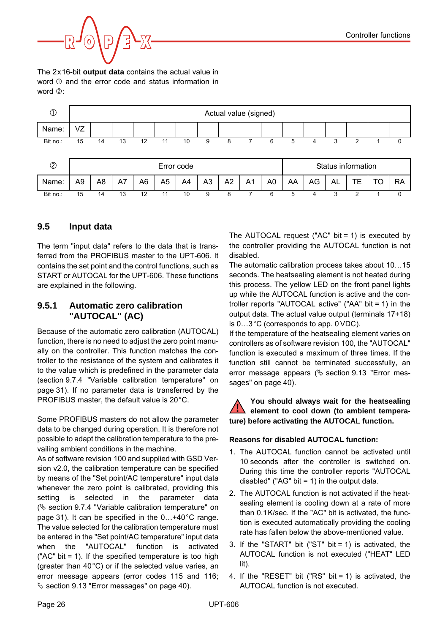

The 2x16-bit **output data** contains the actual value in word  $\odot$  and the error code and status information in word  $(2)$ 



## <span id="page-25-6"></span><span id="page-25-0"></span>**9.5 Input data**

The term "input data" refers to the data that is transferred from the PROFIBUS master to the UPT-606. It contains the set point and the control functions, such as START or AUTOCAL for the UPT-606. These functions are explained in the following.

#### <span id="page-25-5"></span><span id="page-25-1"></span>**9.5.1 Automatic zero calibration "AUTOCAL" (AC)**

Because of the automatic zero calibration (AUTOCAL) function, there is no need to adjust the zero point manually on the controller. This function matches the controller to the resistance of the system and calibrates it to the value which is predefined in the parameter data ([section 9.7.4 "Variable calibration temperature" on](#page-30-0) [page 31\)](#page-30-0). If no parameter data is transferred by the PROFIBUS master, the default value is 20°C.

Some PROFIBUS masters do not allow the parameter data to be changed during operation. It is therefore not possible to adapt the calibration temperature to the prevailing ambient conditions in the machine.

As of software revision 100 and supplied with GSD Version v2.0, the calibration temperature can be specified by means of the "Set point/AC temperature" input data whenever the zero point is calibrated, providing this setting is selected in the parameter data  $(\&$  [section 9.7.4 "Variable calibration temperature" on](#page-30-0) [page 31\)](#page-30-0). It can be specified in the 0…+40°C range. The value selected for the calibration temperature must be entered in the "Set point/AC temperature" input data when the "AUTOCAL" function is activated ("AC" bit = 1). If the specified temperature is too high (greater than 40°C) or if the selected value varies, an error message appears (error codes 115 and 116;  $\%$  [section 9.13 "Error messages" on page 40](#page-39-0)).

<span id="page-25-4"></span><span id="page-25-2"></span>The AUTOCAL request ("AC" bit = 1) is executed by the controller providing the AUTOCAL function is not disabled.

The automatic calibration process takes about 10…15 seconds. The heatsealing element is not heated during this process. The yellow LED on the front panel lights up while the AUTOCAL function is active and the controller reports "AUTOCAL active" ("AA" bit = 1) in the output data. The actual value output (terminals 17+18) is 0…3°C (corresponds to app. 0 VDC).

If the temperature of the heatsealing element varies on controllers as of software revision 100, the "AUTOCAL" function is executed a maximum of three times. If the function still cannot be terminated successfully, an error message appears ( $\&$  [section 9.13 "Error mes](#page-39-0)[sages" on page 40\)](#page-39-0).

#### **You should always wait for the heatsealing element to cool down (to ambient temperature) before activating the AUTOCAL function. !**

#### <span id="page-25-3"></span>**Reasons for disabled AUTOCAL function:**

- 1. The AUTOCAL function cannot be activated until 10 seconds after the controller is switched on. During this time the controller reports "AUTOCAL disabled" ("AG" bit = 1) in the output data.
- 2. The AUTOCAL function is not activated if the heatsealing element is cooling down at a rate of more than 0.1K/sec. If the "AC" bit is activated, the function is executed automatically providing the cooling rate has fallen below the above-mentioned value.
- 3. If the "START" bit ("ST" bit  $= 1$ ) is activated, the AUTOCAL function is not executed ("HEAT" LED lit).
- 4. If the "RESET" bit ("RS" bit = 1) is activated, the AUTOCAL function is not executed.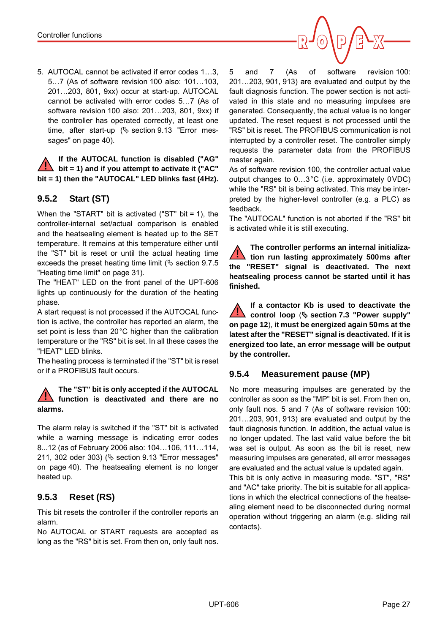5. AUTOCAL cannot be activated if error codes 1…3, 5…7 (As of software revision 100 also: 101…103, 201…203, 801, 9xx) occur at start-up. AUTOCAL cannot be activated with error codes 5…7 (As of software revision 100 also: 201…203, 801, 9xx) if the controller has operated correctly, at least one time, after start-up  $(\&$  [section 9.13 "Error mes](#page-39-0)[sages" on page 40\)](#page-39-0).

**If the AUTOCAL function is disabled ("AG" bit = 1) and if you attempt to activate it ("AC" bit = 1) then the "AUTOCAL" LED blinks fast (4Hz). !**

# <span id="page-26-6"></span><span id="page-26-1"></span>**9.5.2 Start (ST)**

When the "START" bit is activated ("ST" bit = 1), the controller-internal set/actual comparison is enabled and the heatsealing element is heated up to the SET temperature. It remains at this temperature either until the "ST" bit is reset or until the actual heating time exceeds the preset heating time limit ( $\&$  [section 9.7.5](#page-30-1) ["Heating time limit" on page 31](#page-30-1)).

The "HEAT" LED on the front panel of the UPT-606 lights up continuously for the duration of the heating phase.

A start request is not processed if the AUTOCAL function is active, the controller has reported an alarm, the set point is less than 20°C higher than the calibration temperature or the "RS" bit is set. In all these cases the "HEAT" LED blinks.

The heating process is terminated if the "ST" bit is reset or if a PROFIBUS fault occurs.

#### **The "ST" bit is only accepted if the AUTOCAL function is deactivated and there are no alarms. !**

The alarm relay is switched if the "ST" bit is activated while a warning message is indicating error codes 8...12 (as of February 2006 also: 104…106, 111…114, 211, 302 oder 303) ( $\&$  [section 9.13 "Error messages"](#page-39-0) [on page 40](#page-39-0)). The heatsealing element is no longer heated up.

# <span id="page-26-4"></span><span id="page-26-0"></span>**9.5.3 Reset (RS)**

This bit resets the controller if the controller reports an alarm.

<span id="page-26-5"></span>No AUTOCAL or START requests are accepted as long as the "RS" bit is set. From then on, only fault nos. 5 and 7 (As of software revision 100: 201…203, 901, 913) are evaluated and output by the fault diagnosis function. The power section is not activated in this state and no measuring impulses are generated. Consequently, the actual value is no longer updated. The reset request is not processed until the "RS" bit is reset. The PROFIBUS communication is not interrupted by a controller reset. The controller simply requests the parameter data from the PROFIBUS master again.

As of software revision 100, the controller actual value output changes to 0…3°C (i.e. approximately 0VDC) while the "RS" bit is being activated. This may be interpreted by the higher-level controller (e.g. a PLC) as feedback.

The "AUTOCAL" function is not aborted if the "RS" bit is activated while it is still executing.

**The controller performs an internal initialization run lasting approximately 500ms after the "RESET" signal is deactivated. The next heatsealing process cannot be started until it has finished. !**

**If a contactor Kb is used to deactivate the control loop**  $(\xi)$  **[section 7.3 "Power supply"](#page-11-0) [on page 12](#page-11-0)**), **it must be energized again 50ms at the latest after the "RESET" signal is deactivated. If it is energized too late, an error message will be output by the controller. !**

## <span id="page-26-2"></span>**9.5.4 Measurement pause (MP)**

<span id="page-26-3"></span>No more measuring impulses are generated by the controller as soon as the "MP" bit is set. From then on, only fault nos. 5 and 7 (As of software revision 100: 201…203, 901, 913) are evaluated and output by the fault diagnosis function. In addition, the actual value is no longer updated. The last valid value before the bit was set is output. As soon as the bit is reset, new measuring impulses are generated, all error messages are evaluated and the actual value is updated again. This bit is only active in measuring mode. "ST", "RS" and "AC" take priority. The bit is suitable for all applications in which the electrical connections of the heatsealing element need to be disconnected during normal operation without triggering an alarm (e.g. sliding rail contacts).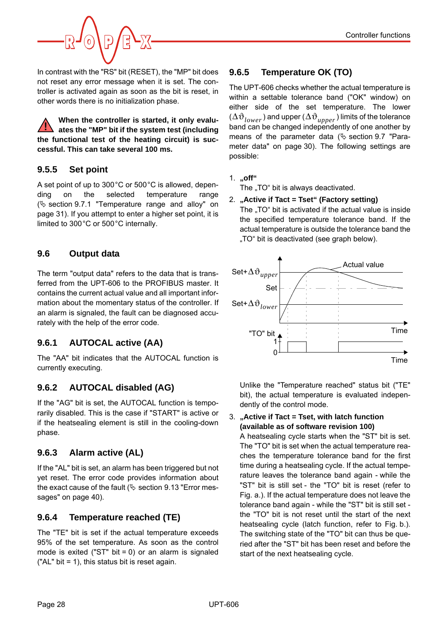

In contrast with the "RS" bit (RESET), the "MP" bit does not reset any error message when it is set. The controller is activated again as soon as the bit is reset, in other words there is no initialization phase.

**When the controller is started, it only evaluates the "MP" bit if the system test (including the functional test of the heating circuit) is successful. This can take several 100 ms. !**

# <span id="page-27-9"></span>**9.5.5 Set point**

A set point of up to 300°C or 500°C is allowed, depending on the selected temperature range  $(\&$  [section 9.7.1 "Temperature range and alloy" on](#page-30-2) [page 31\)](#page-30-2). If you attempt to enter a higher set point, it is limited to 300°C or 500°C internally.

# <span id="page-27-8"></span><span id="page-27-0"></span>**9.6 Output data**

The term "output data" refers to the data that is transferred from the UPT-606 to the PROFIBUS master. It contains the current actual value and all important information about the momentary status of the controller. If an alarm is signaled, the fault can be diagnosed accurately with the help of the error code.

# <span id="page-27-6"></span>**9.6.1 AUTOCAL active (AA)**

<span id="page-27-2"></span>The "AA" bit indicates that the AUTOCAL function is currently executing.

# <span id="page-27-7"></span>**9.6.2 AUTOCAL disabled (AG)**

<span id="page-27-3"></span>If the "AG" bit is set, the AUTOCAL function is temporarily disabled. This is the case if "START" is active or if the heatsealing element is still in the cooling-down phase.

# <span id="page-27-5"></span>**9.6.3 Alarm active (AL)**

<span id="page-27-4"></span>If the "AL" bit is set, an alarm has been triggered but not yet reset. The error code provides information about the exact cause of the fault ( $\&$  [section 9.13 "Error mes](#page-39-0)[sages" on page 40\)](#page-39-0).

# <span id="page-27-12"></span>**9.6.4 Temperature reached (TE)**

<span id="page-27-10"></span>The "TE" bit is set if the actual temperature exceeds 95% of the set temperature. As soon as the control mode is exited ("ST" bit =  $0$ ) or an alarm is signaled ("AL" bit = 1), this status bit is reset again.

# <span id="page-27-11"></span><span id="page-27-1"></span>**9.6.5 Temperature OK (TO)**

The UPT-606 checks whether the actual temperature is within a settable tolerance band ("OK" window) on either side of the set temperature. The lower  $(\Delta \vartheta_{lower}^{})$  and upper  $(\Delta \vartheta_{upper}^{})$  limits of the tolerance band can be changed independently of one another by means of the parameter data ( $\&$  [section 9.7 "Para](#page-29-0)[meter data" on page 30\)](#page-29-0). The following settings are possible:

1. **"off"**

<span id="page-27-13"></span>The "TO" bit is always deactivated.

#### 2. **"Active if Tact = Tset" (Factory setting)**

The "TO" bit is activated if the actual value is inside the specified temperature tolerance band. If the actual temperature is outside the tolerance band the "TO" bit is deactivated (see graph below).



Unlike the "Temperature reached" status bit ("TE" bit), the actual temperature is evaluated independently of the control mode.

#### 3. **"Active if Tact = Tset, with latch function (available as of software revision 100)**

A heatsealing cycle starts when the "ST" bit is set. The "TO" bit is set when the actual temperature reaches the temperature tolerance band for the first time during a heatsealing cycle. If the actual temperature leaves the tolerance band again - while the "ST" bit is still set - the "TO" bit is reset (refer to Fig. a.). If the actual temperature does not leave the tolerance band again - while the "ST" bit is still set the "TO" bit is not reset until the start of the next heatsealing cycle (latch function, refer to Fig. b.). The switching state of the "TO" bit can thus be queried after the "ST" bit has been reset and before the start of the next heatsealing cycle.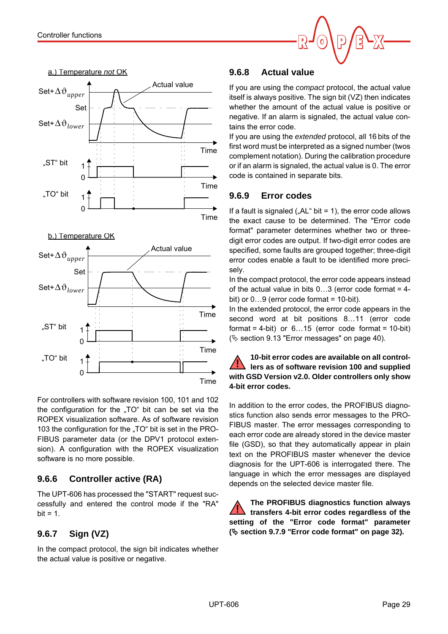



b.) Temperature OK



For controllers with software revision 100, 101 and 102 the configuration for the ..TO" bit can be set via the ROPEX visualization software. As of software revision 103 the configuration for the "TO" bit is set in the PRO-FIBUS parameter data (or the DPV1 protocol extension). A configuration with the ROPEX visualization software is no more possible.

# <span id="page-28-2"></span>**9.6.6 Controller active (RA)**

The UPT-606 has processed the "START" request successfully and entered the control mode if the "RA"  $bit = 1$ .

# **9.6.7 Sign (VZ)**

In the compact protocol, the sign bit indicates whether the actual value is positive or negative.

# <span id="page-28-1"></span>**9.6.8 Actual value**

If you are using the *compact* protocol, the actual value itself is always positive. The sign bit (VZ) then indicates whether the amount of the actual value is positive or negative. If an alarm is signaled, the actual value contains the error code.

If you are using the *extended* protocol, all 16 bits of the first word must be interpreted as a signed number (twos complement notation). During the calibration procedure or if an alarm is signaled, the actual value is 0. The error code is contained in separate bits.

# <span id="page-28-0"></span>**9.6.9 Error codes**

If a fault is signaled (" $AL$ " bit = 1), the error code allows the exact cause to be determined. The "Error code format" parameter determines whether two or threedigit error codes are output. If two-digit error codes are specified, some faults are grouped together; three-digit error codes enable a fault to be identified more precisely.

In the compact protocol, the error code appears instead of the actual value in bits  $0...3$  (error code format = 4bit) or  $0...9$  (error code format = 10-bit).

In the extended protocol, the error code appears in the second word at bit positions 8…11 (error code format = 4-bit) or  $6...15$  (error code format = 10-bit)  $(\&$  [section 9.13 "Error messages" on page 40\)](#page-39-0).

#### **10-bit error codes are available on all controllers as of software revision 100 and supplied with GSD Version v2.0. Older controllers only show 4-bit error codes. !**

In addition to the error codes, the PROFIBUS diagnostics function also sends error messages to the PRO-FIBUS master. The error messages corresponding to each error code are already stored in the device master file (GSD), so that they automatically appear in plain text on the PROFIBUS master whenever the device diagnosis for the UPT-606 is interrogated there. The language in which the error messages are displayed depends on the selected device master file.

<span id="page-28-3"></span>**The PROFIBUS diagnostics function always transfers 4-bit error codes regardless of the setting of the "Error code format" parameter ( [section 9.7.9 "Error code format" on page 32](#page-31-1)). !**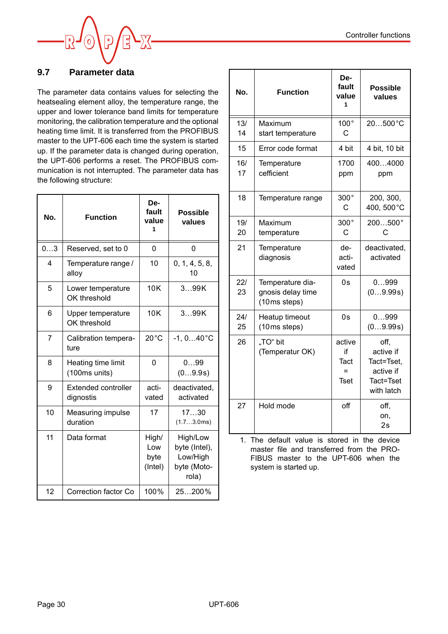

# <span id="page-29-0"></span>**9.7 Parameter data**

The parameter data contains values for selecting the heatsealing element alloy, the temperature range, the upper and lower tolerance band limits for temperature monitoring, the calibration temperature and the optional heating time limit. It is transferred from the PROFIBUS master to the UPT-606 each time the system is started up. If the parameter data is changed during operation, the UPT-606 performs a reset. The PROFIBUS communication is not interrupted. The parameter data has the following structure:

| No.            | <b>Function</b>                         | De-<br>fault<br>value<br>1      | <b>Possible</b><br>values                                     |
|----------------|-----------------------------------------|---------------------------------|---------------------------------------------------------------|
| 03             | Reserved, set to 0                      | 0                               | 0                                                             |
| 4              | Temperature range /<br>alloy            | 10                              | 0, 1, 4, 5, 8,<br>10                                          |
| 5              | Lower temperature<br>OK threshold       | <b>10K</b>                      | 399K                                                          |
| 6              | Upper temperature<br>OK threshold       | 10K                             | 399K                                                          |
| $\overline{7}$ | Calibration tempera-<br>ture            | $20^{\circ}$ C                  | $-1, 040$ °C                                                  |
| 8              | Heating time limit<br>(100ms units)     | $\Omega$                        | 099<br>(09.9s)                                                |
| 9              | <b>Extended controller</b><br>dignostis | acti-<br>vated                  | deactivated,<br>activated                                     |
| 10             | Measuring impulse<br>duration           | 17                              | 1730<br>(1.73.0ms)                                            |
| 11             | Data format                             | High/<br>Low<br>byte<br>(Intel) | High/Low<br>byte (Intel),<br>Low/High<br>byte (Moto-<br>rola) |
| 12             | Correction factor Co                    | 100%                            | 25200%                                                        |

| No.       | <b>Function</b>                                       | De-<br>fault<br>value<br>1                 | <b>Possible</b><br>values                                               |
|-----------|-------------------------------------------------------|--------------------------------------------|-------------------------------------------------------------------------|
| 13/<br>14 | Maximum<br>start temperature                          | $100^{\circ}$<br>C                         | 20500°C                                                                 |
| 15        | Error code format                                     | 4 bit                                      | 4 bit, 10 bit                                                           |
| 16/<br>17 | Temperature<br>cefficient                             | 1700<br>ppm                                | 4004000<br>ppm                                                          |
| 18        | Temperature range                                     | 300°<br>C                                  | 200, 300,<br>400, 500°C                                                 |
| 19/<br>20 | Maximum<br>temperature                                | 300°<br>C                                  | 200500°<br>C                                                            |
| 21        | Temperature<br>diagnosis                              | de-<br>acti-<br>vated                      | deactivated,<br>activated                                               |
| 22/<br>23 | Temperature dia-<br>gnosis delay time<br>(10ms steps) | 0s                                         | 0999<br>(09.99s)                                                        |
| 24/<br>25 | Heatup timeout<br>(10ms steps)                        | 0s                                         | 0999<br>(09.99s)                                                        |
| 26        | "TO" bit<br>(Temperatur OK)                           | active<br>if<br>Tact<br>$=$<br><b>Tset</b> | off,<br>active if<br>Tact=Tset,<br>active if<br>Tact=Tset<br>with latch |
| 27        | Hold mode                                             | off                                        | off,<br>on.<br>2s                                                       |

1. The default value is stored in the device master file and transferred from the PRO-FIBUS master to the UPT-606 when the system is started up.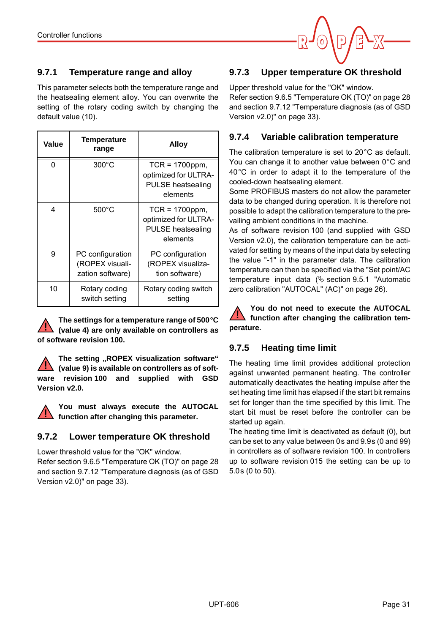

# <span id="page-30-2"></span>**9.7.1 Temperature range and alloy**

This parameter selects both the temperature range and the heatsealing element alloy. You can overwrite the setting of the rotary coding switch by changing the default value (10).

| Value | Temperature<br>range                                    | Alloy                                                                             |
|-------|---------------------------------------------------------|-----------------------------------------------------------------------------------|
| 0     | $300^{\circ}$ C                                         | $TCR = 1700$ ppm,<br>optimized for ULTRA-<br><b>PULSE</b> heatsealing<br>elements |
| 4     | $500^{\circ}$ C                                         | $TCR = 1700$ ppm,<br>optimized for ULTRA-<br><b>PULSE</b> heatsealing<br>elements |
| 9     | PC configuration<br>(ROPEX visuali-<br>zation software) | PC configuration<br>(ROPEX visualiza-<br>tion software)                           |
| 10    | Rotary coding<br>switch setting                         | Rotary coding switch<br>setting                                                   |

**The settings for a temperature range of 500°C (value 4) are only available on controllers as of software revision 100. !**

The setting "ROPEX visualization software" **(value 9) is available on controllers as of software revision 100 and supplied with GSD Version v2.0. !**

**You must always execute the AUTOCAL function after changing this parameter.**

## **9.7.2 Lower temperature OK threshold**

**!**

Lower threshold value for the "OK" window. Refer [section 9.6.5 "Temperature OK \(TO\)" on page 28](#page-27-1) and [section 9.7.12 "Temperature diagnosis \(as of GSD](#page-32-0) [Version v2.0\)" on page 33\)](#page-32-0).

# **9.7.3 Upper temperature OK threshold**

Upper threshold value for the "OK" window. Refer [section 9.6.5 "Temperature OK \(TO\)" on page 28](#page-27-1) and [section 9.7.12 "Temperature diagnosis \(as of GSD](#page-32-0) [Version v2.0\)" on page 33\)](#page-32-0).

# <span id="page-30-0"></span>**9.7.4 Variable calibration temperature**

The calibration temperature is set to 20°C as default. You can change it to another value between 0°C and 40°C in order to adapt it to the temperature of the cooled-down heatsealing element.

Some PROFIBUS masters do not allow the parameter data to be changed during operation. It is therefore not possible to adapt the calibration temperature to the prevailing ambient conditions in the machine.

As of software revision 100 (and supplied with GSD Version v2.0), the calibration temperature can be activated for setting by means of the input data by selecting the value "-1" in the parameter data. The calibration temperature can then be specified via the "Set point/AC temperature input data  $(\&$  [section 9.5.1 "Automatic](#page-25-1) [zero calibration "AUTOCAL" \(AC\)" on page 26](#page-25-1)).

**You do not need to execute the AUTOCAL function after changing the calibration temperature. !**

# <span id="page-30-1"></span>**9.7.5 Heating time limit**

The heating time limit provides additional protection against unwanted permanent heating. The controller automatically deactivates the heating impulse after the set heating time limit has elapsed if the start bit remains set for longer than the time specified by this limit. The start bit must be reset before the controller can be started up again.

The heating time limit is deactivated as default (0), but can be set to any value between 0s and 9.9s (0 and 99) in controllers as of software revision 100. In controllers up to software revision 015 the setting can be up to 5.0s (0 to 50).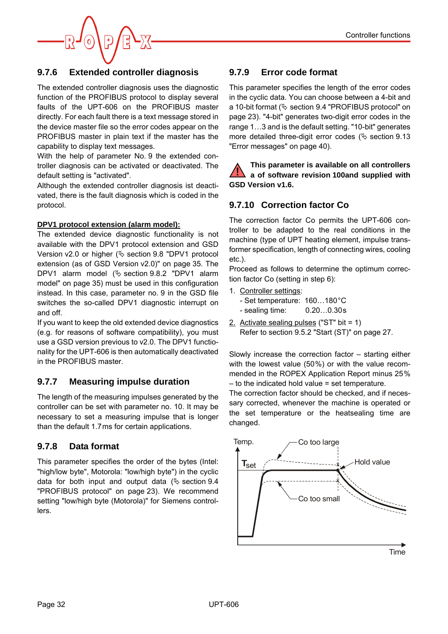

## <span id="page-31-7"></span><span id="page-31-3"></span>**9.7.6 Extended controller diagnosis**

The extended controller diagnosis uses the diagnostic function of the PROFIBUS protocol to display several faults of the UPT-606 on the PROFIBUS master directly. For each fault there is a text message stored in the device master file so the error codes appear on the PROFIBUS master in plain text if the master has the capability to display text messages.

With the help of parameter No. 9 the extended controller diagnosis can be activated or deactivated. The default setting is "activated".

Although the extended controller diagnosis ist deactivated, there is the fault diagnosis which is coded in the protocol.

#### **DPV1 protocol extension (alarm model):**

The extended device diagnostic functionality is not available with the DPV1 protocol extension and GSD Version v2.0 or higher ( $\&$  [section 9.8 "DPV1 protocol](#page-34-0) [extension \(as of GSD Version v2.0\)" on page 35.](#page-34-0) The DPV1 alarm model  $(\xi)$  [section 9.8.2 "DPV1 alarm](#page-34-1) [model" on page 35\)](#page-34-1) must be used in this configuration instead. In this case, parameter no. 9 in the GSD file switches the so-called DPV1 diagnostic interrupt on and off.

If you want to keep the old extended device diagnostics (e.g. for reasons of software compatibility), you must use a GSD version previous to v2.0. The DPV1 functionality for the UPT-606 is then automatically deactivated in the PROFIBUS master.

#### <span id="page-31-8"></span>**9.7.7 Measuring impulse duration**

The length of the measuring impulses generated by the controller can be set with parameter no. 10. It may be necessary to set a measuring impulse that is longer than the default 1.7ms for certain applications.

#### <span id="page-31-5"></span>**9.7.8 Data format**

This parameter specifies the order of the bytes (Intel: "high/low byte", Motorola: "low/high byte") in the cyclic data for both input and output data ( $\&$  [section 9.4](#page-22-2) ["PROFIBUS protocol" on page 23](#page-22-2)). We recommend setting "low/high byte (Motorola)" for Siemens controllers.

## <span id="page-31-6"></span><span id="page-31-1"></span>**9.7.9 Error code format**

This parameter specifies the length of the error codes in the cyclic data. You can choose between a 4-bit and a 10-bit format ( $\&$  [section 9.4 "PROFIBUS protocol" on](#page-22-2) [page 23\)](#page-22-2). "4-bit" generates two-digit error codes in the range 1…3 and is the default setting. "10-bit" generates more detailed three-digit error codes ( $\&$  [section 9.13](#page-39-0) ["Error messages" on page 40](#page-39-0)).

**This parameter is available on all controllers a of software revision 100and supplied with GSD Version v1.6. !**

#### <span id="page-31-4"></span><span id="page-31-2"></span><span id="page-31-0"></span>**9.7.10 Correction factor Co**

The correction factor Co permits the UPT-606 controller to be adapted to the real conditions in the machine (type of UPT heating element, impulse transformer specification, length of connecting wires, cooling etc.).

Proceed as follows to determine the optimum correction factor Co (setting in step 6):

1. Controller settings:

| - Set temperature: 160180°C |           |
|-----------------------------|-----------|
| - sealing time:             | 0.200.30s |

2. Activate sealing pulses ("ST" bit = 1) Refer to [section 9.5.2 "Start \(ST\)" on page 27.](#page-26-1)

Slowly increase the correction factor – starting either with the lowest value (50%) or with the value recommended in the ROPEX Application Report minus 25% – to the indicated hold value = set temperature.

The correction factor should be checked, and if necessary corrected, whenever the machine is operated or the set temperature or the heatsealing time are changed.

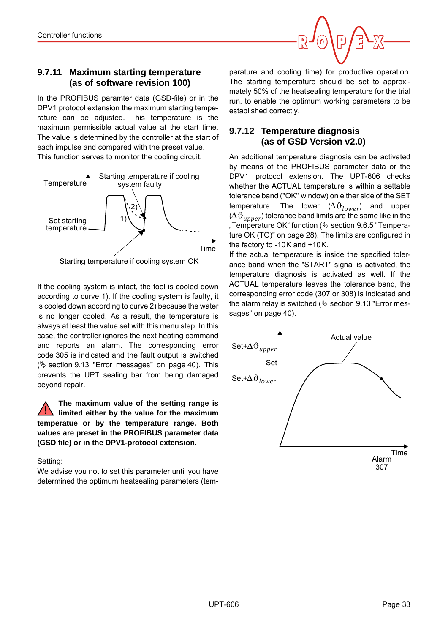### <span id="page-32-2"></span><span id="page-32-1"></span>**9.7.11 Maximum starting temperature (as of software revision 100)**

In the PROFIBUS paramter data (GSD-file) or in the DPV1 protocol extension the maximum starting temperature can be adjusted. This temperature is the maximum permissible actual value at the start time. The value is determined by the controller at the start of each impulse and compared with the preset value. This function serves to monitor the cooling circuit.



Starting temperature if cooling system OK

If the cooling system is intact, the tool is cooled down according to curve 1). If the cooling system is faulty, it is cooled down according to curve 2) because the water is no longer cooled. As a result, the temperature is always at least the value set with this menu step. In this case, the controller ignores the next heating command and reports an alarm. The corresponding error code 305 is indicated and the fault output is switched  $(\&$  [section 9.13 "Error messages" on page 40\)](#page-39-0). This prevents the UPT sealing bar from being damaged beyond repair.

**The maximum value of the setting range is limited either by the value for the maximum temperatue or by the temperature range. Both values are preset in the PROFIBUS parameter data (GSD file) or in the DPV1-protocol extension. !**

#### Setting:

We advise you not to set this parameter until you have determined the optimum heatsealing parameters (tem-

perature and cooling time) for productive operation. The starting temperature should be set to approximately 50% of the heatsealing temperature for the trial run, to enable the optimum working parameters to be established correctly.

## <span id="page-32-3"></span><span id="page-32-0"></span>**9.7.12 Temperature diagnosis (as of GSD Version v2.0)**

An additional temperature diagnosis can be activated by means of the PROFIBUS parameter data or the DPV1 protocol extension. The UPT-606 checks whether the ACTUAL temperature is within a settable tolerance band ("OK" window) on either side of the SET temperature. The lower ( $\Delta \vartheta_{lower}$ ) and upper ( $\Delta \vartheta_{upper}$ ) tolerance band limits are the same like in the "Temperature OK" function ( $\&$  [section 9.6.5 "Tempera](#page-27-1)[ture OK \(TO\)" on page 28\)](#page-27-1). The limits are configured in the factory to -10K and +10K.

If the actual temperature is inside the specified tolerance band when the "START" signal is activated, the temperature diagnosis is activated as well. If the ACTUAL temperature leaves the tolerance band, the corresponding error code (307 or 308) is indicated and the alarm relay is switched ( $\&$  [section 9.13 "Error mes](#page-39-0)[sages" on page 40\)](#page-39-0).

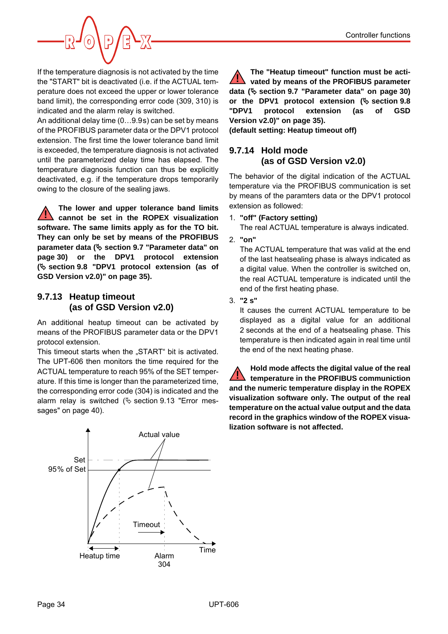

If the temperature diagnosis is not activated by the time the "START" bit is deactivated (i.e. if the ACTUAL temperature does not exceed the upper or lower tolerance band limit), the corresponding error code (309, 310) is indicated and the alarm relay is switched.

An additional delay time (0…9.9s) can be set by means of the PROFIBUS parameter data or the DPV1 protocol extension. The first time the lower tolerance band limit is exceeded, the temperature diagnosis is not activated until the parameterized delay time has elapsed. The temperature diagnosis function can thus be explicitly deactivated, e.g. if the temperature drops temporarily owing to the closure of the sealing jaws.

**The lower and upper tolerance band limits cannot be set in the ROPEX visualization software. The same limits apply as for the TO bit. They can only be set by means of the PROFIBUS parameter data ( [section 9.7 "Parameter data" on](#page-29-0) [page 30\)](#page-29-0) or the DPV1 protocol extension ( [section 9.8 "DPV1 protocol extension \(as of](#page-34-0) [GSD Version v2.0\)" on page 35\)](#page-34-0). !**

## <span id="page-33-1"></span><span id="page-33-0"></span>**9.7.13 Heatup timeout (as of GSD Version v2.0)**

An additional heatup timeout can be activated by means of the PROFIBUS parameter data or the DPV1 protocol extension.

This timeout starts when the "START" bit is activated. The UPT-606 then monitors the time required for the ACTUAL temperature to reach 95% of the SET temperature. If this time is longer than the parameterized time, the corresponding error code (304) is indicated and the alarm relay is switched ( $\&$  [section 9.13 "Error mes](#page-39-0)[sages" on page 40\)](#page-39-0).

Set 95% of Set Actual value Time Heatup time Alarm 304 **Timeout** 

**The "Heatup timeout" function must be activated by means of the PROFIBUS parameter data ( [section 9.7 "Parameter data" on page 30](#page-29-0)) or the DPV1 protocol extension ( [section 9.8](#page-34-0) ["DPV1 protocol extension \(as of GSD](#page-34-0) [Version v2.0\)" on page 35\)](#page-34-0). !**

**(default setting: Heatup timeout off)**

# **9.7.14 Hold mode (as of GSD Version v2.0)**

The behavior of the digital indication of the ACTUAL temperature via the PROFIBUS communication is set by means of the paramters data or the DPV1 protocol extension as followed:

1. **"off" (Factory setting)**

The real ACTUAL temperature is always indicated.

2. **"on"**

The ACTUAL temperature that was valid at the end of the last heatsealing phase is always indicated as a digital value. When the controller is switched on, the real ACTUAL temperature is indicated until the end of the first heating phase.

3. **"2 s"**

It causes the current ACTUAL temperature to be displayed as a digital value for an additional 2 seconds at the end of a heatsealing phase. This temperature is then indicated again in real time until the end of the next heating phase.

**Hold mode affects the digital value of the real temperature in the PROFIBUS communiction and the numeric temperature display in the ROPEX visualization software only. The output of the real temperature on the actual value output and the data record in the graphics window of the ROPEX visualization software is not affected. !**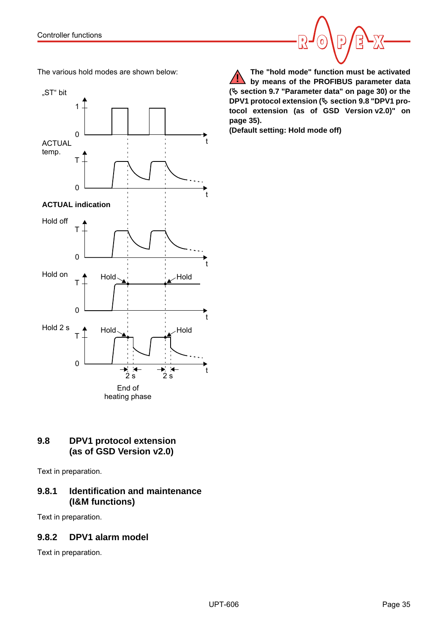



# <span id="page-34-2"></span><span id="page-34-0"></span>**9.8 DPV1 protocol extension (as of GSD Version v2.0)**

Text in preparation.

# **9.8.1 Identification and maintenance (I&M functions)**

Text in preparation.

# <span id="page-34-1"></span>**9.8.2 DPV1 alarm model**

Text in preparation.

**(Default setting: Hold mode off)**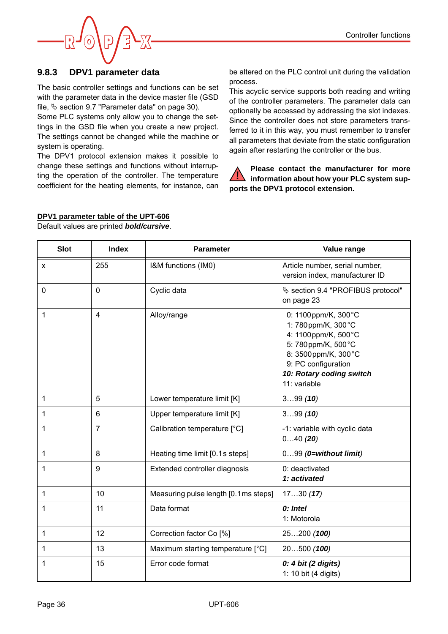

#### **9.8.3 DPV1 parameter data**

The basic controller settings and functions can be set with the parameter data in the device master file (GSD file,  $\&$  [section 9.7 "Parameter data" on page 30](#page-29-0)).

Some PLC systems only allow you to change the settings in the GSD file when you create a new project. The settings cannot be changed while the machine or system is operating.

The DPV1 protocol extension makes it possible to change these settings and functions without interrupting the operation of the controller. The temperature coefficient for the heating elements, for instance, can be altered on the PLC control unit during the validation process.

This acyclic service supports both reading and writing of the controller parameters. The parameter data can optionally be accessed by addressing the slot indexes. Since the controller does not store parameters transferred to it in this way, you must remember to transfer all parameters that deviate from the static configuration again after restarting the controller or the bus.

**Please contact the manufacturer for more information about how your PLC system supports the DPV1 protocol extension. !**

#### **DPV1 parameter table of the UPT-606**

Default values are printed *bold/cursive*.

| <b>Slot</b>  | <b>Index</b>            | <b>Parameter</b>                      | Value range                                                                                                                                                                       |
|--------------|-------------------------|---------------------------------------|-----------------------------------------------------------------------------------------------------------------------------------------------------------------------------------|
| X            | 255                     | I&M functions (IM0)                   | Article number, serial number,<br>version index, manufacturer ID                                                                                                                  |
| $\mathbf 0$  | $\mathbf 0$             | Cyclic data                           | § section 9.4 "PROFIBUS protocol"<br>on page 23                                                                                                                                   |
| 1            | $\overline{\mathbf{4}}$ | Alloy/range                           | 0: 1100ppm/K, 300°C<br>1:780ppm/K, 300°C<br>4: 1100ppm/K, 500°C<br>5: 780ppm/K, 500°C<br>8: 3500 ppm/K, 300 °C<br>9: PC configuration<br>10: Rotary coding switch<br>11: variable |
| $\mathbf{1}$ | 5                       | Lower temperature limit [K]           | 399(10)                                                                                                                                                                           |
| $\mathbf{1}$ | 6                       | Upper temperature limit [K]           | 399(10)                                                                                                                                                                           |
| 1            | $\overline{7}$          | Calibration temperature [°C]          | -1: variable with cyclic data<br>040(20)                                                                                                                                          |
| 1            | 8                       | Heating time limit [0.1s steps]       | $099$ ( $0=$ without limit)                                                                                                                                                       |
| 1            | 9                       | Extended controller diagnosis         | 0: deactivated<br>1: activated                                                                                                                                                    |
| 1            | 10                      | Measuring pulse length [0.1 ms steps] | 1730(17)                                                                                                                                                                          |
| 1            | 11                      | Data format                           | 0: Intel<br>1: Motorola                                                                                                                                                           |
| 1            | 12                      | Correction factor Co <sup>[%]</sup>   | 25200(100)                                                                                                                                                                        |
| 1            | 13                      | Maximum starting temperature [°C]     | 20500(100)                                                                                                                                                                        |
| 1            | 15                      | Error code format                     | 0: 4 bit (2 digits)<br>1: 10 bit (4 digits)                                                                                                                                       |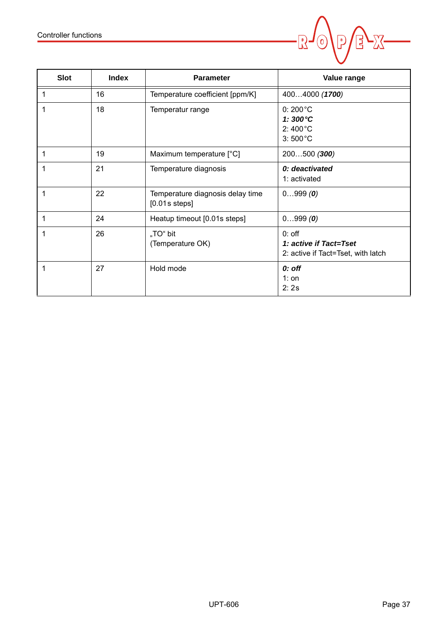![](_page_36_Picture_1.jpeg)

| <b>Slot</b> | <b>Index</b> | <b>Parameter</b>                                    | Value range                                                                      |
|-------------|--------------|-----------------------------------------------------|----------------------------------------------------------------------------------|
| 1           | 16           | Temperature coefficient [ppm/K]                     | 4004000 (1700)                                                                   |
| 1           | 18           | Temperatur range                                    | $0:200^{\circ}C$<br>1: $300^{\circ}$ C<br>$2:400^{\circ}$ C<br>$3:500^{\circ}$ C |
| 1           | 19           | Maximum temperature [°C]                            | 200500 (300)                                                                     |
| 1           | 21           | Temperature diagnosis                               | 0: deactivated<br>1: activated                                                   |
| 1           | 22           | Temperature diagnosis delay time<br>$[0.01s$ steps] | 0999(0)                                                                          |
| 1           | 24           | Heatup timeout [0.01s steps]                        | 0999(0)                                                                          |
| 1           | 26           | "TO" bit<br>(Temperature OK)                        | $0:$ off<br>1: active if Tact=Tset<br>2: active if Tact=Tset, with latch         |
| 1           | 27           | Hold mode                                           | 0: off<br>$1:$ on<br>2:2s                                                        |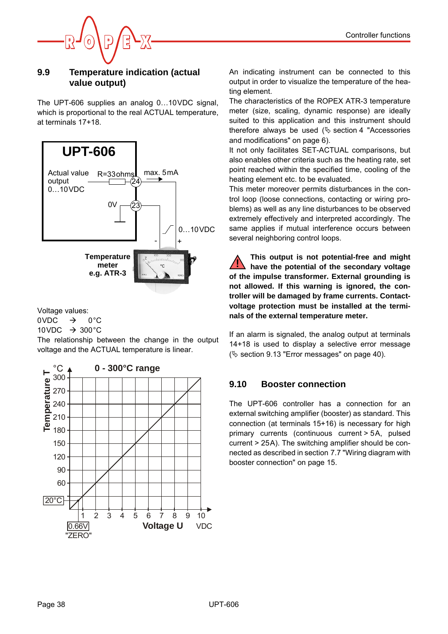![](_page_37_Picture_1.jpeg)

### <span id="page-37-4"></span><span id="page-37-0"></span>**9.9 Temperature indication (actual value output)**

The UPT-606 supplies an analog 0…10VDC signal, which is proportional to the real ACTUAL temperature, at terminals 17+18.

![](_page_37_Figure_4.jpeg)

Voltage values:

 $0VDC \rightarrow 0°C$ 

10 VDC  $\rightarrow$  300 °C

The relationship between the change in the output voltage and the ACTUAL temperature is linear.

![](_page_37_Figure_9.jpeg)

<span id="page-37-2"></span>An indicating instrument can be connected to this output in order to visualize the temperature of the heating element.

<span id="page-37-5"></span>The characteristics of the ROPEX ATR-3 temperature meter (size, scaling, dynamic response) are ideally suited to this application and this instrument should therefore always be used ( $\&$  [section 4 "Accessories](#page-5-2) [and modifications" on page 6](#page-5-2)).

It not only facilitates SET-ACTUAL comparisons, but also enables other criteria such as the heating rate, set point reached within the specified time, cooling of the heating element etc. to be evaluated.

This meter moreover permits disturbances in the control loop (loose connections, contacting or wiring problems) as well as any line disturbances to be observed extremely effectively and interpreted accordingly. The same applies if mutual interference occurs between several neighboring control loops.

**This output is not potential-free and might have the potential of the secondary voltage of the impulse transformer. External grounding is not allowed. If this warning is ignored, the controller will be damaged by frame currents. Contactvoltage protection must be installed at the terminals of the external temperature meter. !**

If an alarm is signaled, the analog output at terminals 14+18 is used to display a selective error message ( $\&$  [section 9.13 "Error messages" on page 40\)](#page-39-0).

# <span id="page-37-3"></span><span id="page-37-1"></span>**9.10 Booster connection**

The UPT-606 controller has a connection for an external switching amplifier (booster) as standard. This connection (at terminals 15+16) is necessary for high primary currents (continuous current > 5A, pulsed current > 25A). The switching amplifier should be connected as described in [section 7.7 "Wiring diagram with](#page-14-0) [booster connection" on page 15.](#page-14-0)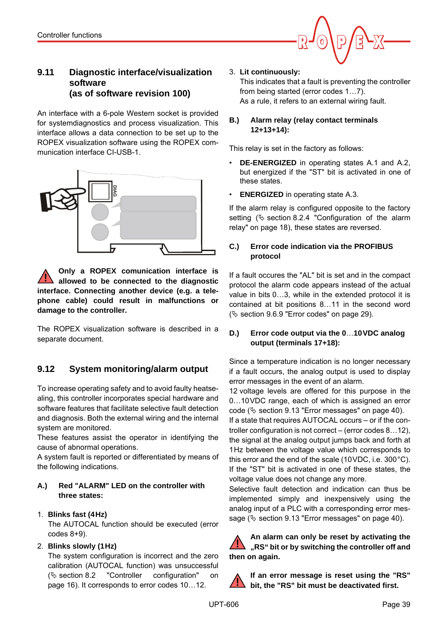![](_page_38_Picture_1.jpeg)

# <span id="page-38-5"></span><span id="page-38-0"></span>**9.11 Diagnostic interface/visualization software (as of software revision 100)**

<span id="page-38-6"></span><span id="page-38-3"></span>An interface with a 6-pole Western socket is provided for systemdiagnostics and process visualization. This interface allows a data connection to be set up to the ROPEX visualization software using the ROPEX communication interface CI-USB-1.

<span id="page-38-4"></span>![](_page_38_Figure_4.jpeg)

**Only a ROPEX comunication interface is allowed to be connected to the diagnostic interface. Connecting another device (e.g. a telephone cable) could result in malfunctions or damage to the controller. !**

The ROPEX visualization software is described in a separate document.

# <span id="page-38-7"></span><span id="page-38-1"></span>**9.12 System monitoring/alarm output**

To increase operating safety and to avoid faulty heatsealing, this controller incorporates special hardware and software features that facilitate selective fault detection and diagnosis. Both the external wiring and the internal system are monitored.

These features assist the operator in identifying the cause of abnormal operations.

A system fault is reported or differentiated by means of the following indications.

#### **A.) Red "ALARM" LED on the controller with three states:**

## 1. **Blinks fast (4Hz)**

The AUTOCAL function should be executed (error codes 8+9).

## 2. **Blinks slowly (1Hz)**

The system configuration is incorrect and the zero calibration (AUTOCAL function) was unsuccessful  $(\&$  [section 8.2 "Controller configuration" on](#page-15-2) [page 16\)](#page-15-2). It corresponds to error codes 10…12.

#### <span id="page-38-8"></span>3. **Lit continuously:**

This indicates that a fault is preventing the controller from being started (error codes 1…7). As a rule, it refers to an external wiring fault.

#### **B.) Alarm relay (relay contact terminals 12+13+14):**

This relay is set in the factory as follows:

- **DE-ENERGIZED** in operating states A.1 and A.2, but energized if the "ST" bit is activated in one of these states.
- **ENERGIZED** in operating state A.3.

If the alarm relay is configured opposite to the factory setting  $(\&$  [section 8.2.4 "Configuration of the alarm](#page-17-1) [relay" on page 18\)](#page-17-1), these states are reversed.

#### **C.) Error code indication via the PROFIBUS protocol**

If a fault occures the "AL" bit is set and in the compact protocol the alarm code appears instead of the actual value in bits 0…3, while in the extended protocol it is contained at bit positions 8…11 in the second word ( $\%$  [section 9.6.9 "Error codes" on page 29\)](#page-28-0).

#### **D.) Error code output via the 0**…**10VDC analog output (terminals 17+18):**

<span id="page-38-2"></span>Since a temperature indication is no longer necessary if a fault occurs, the analog output is used to display error messages in the event of an alarm.

12 voltage levels are offered for this purpose in the 0…10VDC range, each of which is assigned an error code ( $\&$  [section 9.13 "Error messages" on page 40](#page-39-0)).

If a state that requires AUTOCAL occurs – or if the controller configuration is not correct – (error codes 8…12), the signal at the analog output jumps back and forth at 1Hz between the voltage value which corresponds to this error and the end of the scale (10VDC, i.e. 300°C). If the "ST" bit is activated in one of these states, the voltage value does not change any more.

Selective fault detection and indication can thus be implemented simply and inexpensively using the analog input of a PLC with a corresponding error message ( $\%$  [section 9.13 "Error messages" on page 40](#page-39-0)).

**An alarm can only be reset by activating the "RS" bit or by switching the controller off and then on again. !**

**If an error message is reset using the "RS" bit, the "RS" bit must be deactivated first. !**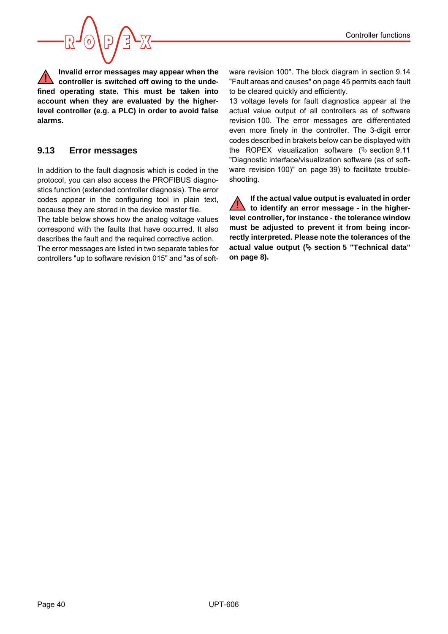![](_page_39_Picture_1.jpeg)

**Invalid error messages may appear when the controller is switched off owing to the undefined operating state. This must be taken into account when they are evaluated by the higherlevel controller (e.g. a PLC) in order to avoid false alarms. !**

# <span id="page-39-1"></span><span id="page-39-0"></span>**9.13 Error messages**

In addition to the fault diagnosis which is coded in the protocol, you can also access the PROFIBUS diagnostics function (extended controller diagnosis). The error codes appear in the configuring tool in plain text, because they are stored in the device master file.

The table below shows how the analog voltage values correspond with the faults that have occurred. It also describes the fault and the required corrective action.

The error messages are listed in two separate tables for controllers "up to software revision 015" and "as of software revision 100". The block diagram in [section 9.14](#page-44-0) ["Fault areas and causes" on page 45](#page-44-0) permits each fault to be cleared quickly and efficiently.

13 voltage levels for fault diagnostics appear at the actual value output of all controllers as of software revision 100. The error messages are differentiated even more finely in the controller. The 3-digit error codes described in brakets below can be displayed with the ROPEX visualization software  $(\frac{1}{2})$  [section 9.11](#page-38-0) ["Diagnostic interface/visualization software \(as of soft](#page-38-0)[ware revision 100\)" on page](#page-38-0) 39) to facilitate troubleshooting.

**If the actual value output is evaluated in order to identify an error message - in the higherlevel controller, for instance - the tolerance window must be adjusted to prevent it from being incorrectly interpreted. Please note the tolerances of the actual value output ( [section 5 "Technical data"](#page-7-0) [on page 8](#page-7-0)). !**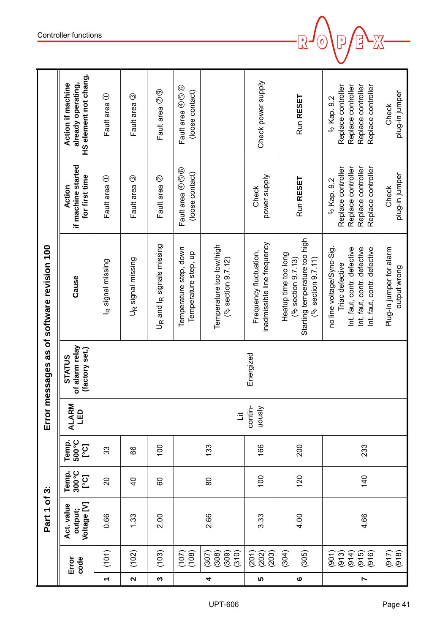|                                      | HS element not chang.<br>already operating,<br><b>Action if machine</b> | Fault area 1                  | Fault area 3                  | Fault area 2 <sup>9</sup>                         | Fault area 4056<br>(loose contact)             |                                                   | Check power supply                                    | Run RESET                                                                                          | Replace controller<br>Replace controller<br>Replace controller<br>Replace controller<br>৬ Kap. 9.2                                        | plug-in jumper<br>Check                  |
|--------------------------------------|-------------------------------------------------------------------------|-------------------------------|-------------------------------|---------------------------------------------------|------------------------------------------------|---------------------------------------------------|-------------------------------------------------------|----------------------------------------------------------------------------------------------------|-------------------------------------------------------------------------------------------------------------------------------------------|------------------------------------------|
|                                      | if machine started<br>for first time<br>Action                          | Fault area ①                  | Fault area 3                  | Fault area 2                                      | Fault area 4056<br>(loose contact)             |                                                   | power supply<br>Check                                 | Run RESET                                                                                          | Replace controller<br>Replace controller<br>Replace controller<br>Replace controller<br>৬ Kap. 9.2                                        | plug-in jumper<br>Check                  |
| messages as of software revision 100 | Cause                                                                   | I <sub>R</sub> signal missing | U <sub>R</sub> signal missing | U <sub>R</sub> and I <sub>R</sub> signals missing | Temperature step, down<br>Temperature step, up | Temperature too low/high<br>$(\%$ section 9.7.12) | inadmissible line frequency<br>Frequency fluctuation, | Starting temperature too high<br>Heatup time too long<br>(4) section 9.7.11)<br>(% section 9.7.13) | no line voltage/Sync-Sig.<br>Int. faut, contr. defective<br>Int. faut, contr. defective<br>Int. faut, contr. defective<br>Triac defective | Plug-in jumper for alarm<br>output wrong |
|                                      | of alarm relay<br>(factory set.)<br><b>STATUS</b>                       |                               |                               |                                                   |                                                |                                                   | Energized                                             |                                                                                                    |                                                                                                                                           |                                          |
| Error                                | Σ<br>LED<br><b>ALARI</b>                                                |                               |                               |                                                   |                                                | $\ddot{=}$                                        | contin-<br>Visnon                                     |                                                                                                    |                                                                                                                                           |                                          |
|                                      | 500°C<br>Temp.<br>[C]                                                   | 33                            | 89                            | 100                                               |                                                | 133                                               | 166                                                   | 200                                                                                                | 233                                                                                                                                       |                                          |
|                                      | 300°C<br>Temp.<br>[Co.]                                                 | $\overline{c}$                | $\frac{1}{4}$                 | 60                                                |                                                | 80                                                | 100                                                   | 120                                                                                                | 140                                                                                                                                       |                                          |
| Part 1 of 3:                         | Voltage [V]<br>Act. value<br>output;                                    | 0.66                          | 1.33                          | 2.00                                              |                                                | 2.66                                              | 3.33                                                  | 4.00                                                                                               | 4.66                                                                                                                                      |                                          |
|                                      | code<br>Error                                                           | (101)                         | (102)                         | (103)                                             | (108)<br>(107)                                 | (310)<br>(309)<br>(307)<br>(308)                  | (201)<br>(203)<br>(202)                               | (304)<br>(305)                                                                                     | (901)<br>(914)<br>(913)<br>$(915)$<br>$(916)$                                                                                             | (918)<br>(917)                           |
|                                      |                                                                         | $\overline{\phantom{0}}$      | $\mathbf{\Omega}$             | $\boldsymbol{\varsigma}$                          |                                                | 4                                                 | S                                                     | $\circ$                                                                                            | $\blacktriangleright$                                                                                                                     |                                          |

 $\overline{\mathbb{R}}$ 

 $\mathbf 0$ 

 $\bm{\mathsf{E}}$ 

<u>XS</u>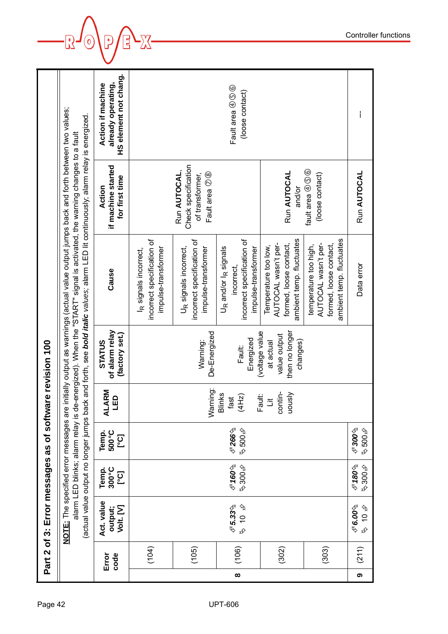| Page 42        |          |               | Part 2 of 3: Error messages as of software revision 100 |                                |                                             |                                           |                                                                         |                                                                                                                                                                                                                                                                                                                                                          |                                                                                     |                                                                         |
|----------------|----------|---------------|---------------------------------------------------------|--------------------------------|---------------------------------------------|-------------------------------------------|-------------------------------------------------------------------------|----------------------------------------------------------------------------------------------------------------------------------------------------------------------------------------------------------------------------------------------------------------------------------------------------------------------------------------------------------|-------------------------------------------------------------------------------------|-------------------------------------------------------------------------|
|                |          |               | NOTE: The specified error messages are                  |                                |                                             |                                           |                                                                         | initially output as warnings (actual value output jumps back and forth between two values;<br>(actual value output no longer jumps back and forth, see bold italic values; alarm LED lit continuously; alarm relay is energized.<br>alarm LED blinks; alarm relay is de-energized). When the "START" signal is activated, the warning changes to a fault |                                                                                     |                                                                         |
|                |          | Error<br>code | Act. value<br>Volt. [V]<br>output;                      | Temp.<br>300°C<br>ု့ငျ         | 500°C<br>Temp.<br><u>ြင်</u>                | ARM<br>$\mathbf{D}$<br>Ĕ<br>ΛLλ           | of alarm relay<br>(factory set.)<br><b>STATUS</b>                       | Cause                                                                                                                                                                                                                                                                                                                                                    | if machine started<br>for first time<br>Action                                      | HS element not chang.<br>already operating,<br><b>Action if machine</b> |
|                |          | (104)         |                                                         |                                |                                             |                                           |                                                                         | incorrect specification of<br>impulse-transformer<br>I <sub>R</sub> signals incorrect,                                                                                                                                                                                                                                                                   |                                                                                     |                                                                         |
|                |          | (105)         |                                                         |                                |                                             | Warning:                                  | De-Energized<br>Warning:                                                | incorrect specification of<br>U <sub>R</sub> signals incorrect,<br>impulse-transformer                                                                                                                                                                                                                                                                   | Check specification<br>Run AUTOCAL,<br>Fault area 7 <sup>8</sup><br>of transformer, |                                                                         |
| <b>UPT-606</b> | $\infty$ | (106)         | $\mathscr{F}$ 5.33 $\Uparrow$<br>も<br>この                | $\mathscr{F}$ 160⁄କ<br>∲ 300\$ | $\mathscr F$ 266 $\mathfrak f$<br>ر4 500ع ¢ | <b>Blinks</b><br>(4Hz)<br>fast            | Energized<br>Fault:                                                     | incorrect specification of<br>U <sub>R</sub> and/or l <sub>R</sub> signals<br>impulse-transformer<br>incorrect.                                                                                                                                                                                                                                          |                                                                                     | Fault area $@@@@$<br>(loose contact)                                    |
|                |          | (302)         |                                                         |                                |                                             | contin-<br>vously<br>Fault:<br>$\ddot{z}$ | then no longer<br>oltage value<br>value output<br>changes)<br>at actual | ambient temp. fluctuates<br>AUTOCAL wasn't per-<br>formed, loose contact,<br>Temperature too low,                                                                                                                                                                                                                                                        | Run AUTOCAL<br>and/or                                                               |                                                                         |
|                |          | (303)         |                                                         |                                |                                             |                                           |                                                                         | ambient temp. fluctuates<br>AUTOCAL wasn't per-<br>formed, loose contact,<br>temperature too high,                                                                                                                                                                                                                                                       | fault area $\circledA$ $\circledB$<br>(loose contact)                               |                                                                         |
|                | თ        | (211)         | $\mathscr{F}$ 6.00 $\mathscr{A}$<br><b>もいか</b>          | $\mathscr{F}$ 180⁄କ<br>∲00\$ স | $\mathscr F$ 300 $\mathscr C$<br>∲009 \$    |                                           |                                                                         | Data error                                                                                                                                                                                                                                                                                                                                               | Run AUTOCAL                                                                         | $\mathbf i$                                                             |

 $-\sqrt{2}$ EX- $\mathbf{J}^{(0)}$  $\sqrt{\mathsf{P}}$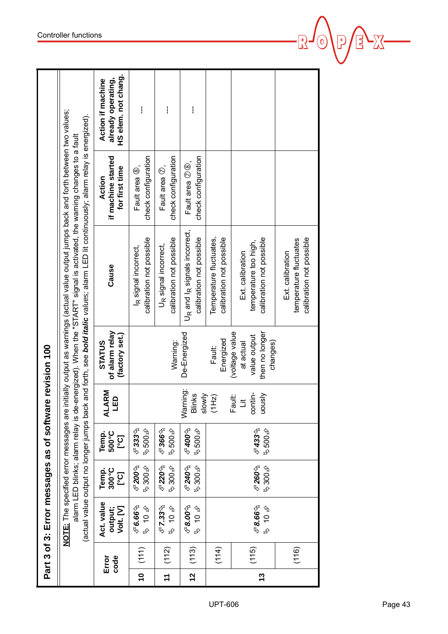|               |               | Part 3 of 3: Error messages as of softwar       |                                     |                                           |                                  | e revision 100                                                            |                                                                                                                                                                                                                                                                                                                                                           |                                                  |                                                                       |
|---------------|---------------|-------------------------------------------------|-------------------------------------|-------------------------------------------|----------------------------------|---------------------------------------------------------------------------|-----------------------------------------------------------------------------------------------------------------------------------------------------------------------------------------------------------------------------------------------------------------------------------------------------------------------------------------------------------|--------------------------------------------------|-----------------------------------------------------------------------|
|               |               | <b>NOTE:</b> The specified error messages are   |                                     |                                           |                                  |                                                                           | initially output as warnings (actual value output jumps back and forth between two values;<br>(actual value output no longer jumps back and forth, see bold italic values; alarm LED lit continuously; alarm relay is energized).<br>alarm LED blinks; alarm relay is de-energized). When the "START" signal is activated, the warning changes to a fault |                                                  |                                                                       |
|               | code<br>Error | Act. value<br>Volt. [V]<br>output;              | 300°C<br>Temp.<br>ဉ့                | Temp.<br>500°C<br>ုပ္ပြ                   | ALARM<br>LED                     | of alarm relay<br>(factory set.)<br><b>STATUS</b>                         | Cause                                                                                                                                                                                                                                                                                                                                                     | if machine started<br>for first time<br>Action   | HS elem. not chang.<br>already operating,<br><b>Action if machine</b> |
| $\frac{1}{2}$ | (111)         | $\mathscr{F}$ 6.66 $\mathfrak{h}$<br><b>今日夕</b> | $6200$ ዓ<br>∲00\$ st                | $\mathscr{F}$ 33%<br>∲009⊅                |                                  |                                                                           | calibration not possible<br>I <sub>R</sub> signal incorrect,                                                                                                                                                                                                                                                                                              | check configuration<br>Fault area <sup>®</sup> , | $\mathbf{I}$                                                          |
| $\tilde{t}$   | (112)         | $C$ 7.33 $\%$<br><b>ものみ</b>                     | <i>্</i> ড220∕ৡ<br>$\approx 300$ \$ | $\mathscr{F}$ 366 $\mathscr{D}$<br>∲009⊅  |                                  | Warning:                                                                  | calibration not possible<br>U <sub>R</sub> signal incorrect,                                                                                                                                                                                                                                                                                              | check configuration<br>Fault area $\circledcirc$ | I                                                                     |
| $\frac{1}{2}$ | (113)         | $\mathscr{F}$ 8.00 $\mathscr{D}$<br><b>ものみ</b>  | <b>∉240</b> \$<br>∲00\$⊅            | $\mathscr{F}$ 400 $\mathscr{D}$<br>∲ 500ع | Warning:<br>Blinks<br>slowly     | De-Energized                                                              | U <sub>R</sub> and I <sub>R</sub> signals incorrect,<br>calibration not possible                                                                                                                                                                                                                                                                          | check configuration<br>Fault area $\oslash$ 8,   | ł                                                                     |
|               | (114)         |                                                 |                                     |                                           | (1Hz)                            | Energized<br>Fault:                                                       | Temperature fluctuates,<br>calibration not possible                                                                                                                                                                                                                                                                                                       |                                                  |                                                                       |
| 13            | (115)         | $\mathscr{F}$ 8.66 $\mathscr{D}$<br><b>ぐつみ</b>  | $6260\%$<br>�00\$⊅                  | C433%<br>∲009⊅                            | contin-<br>Visnon<br>Fault:<br>ă | then no longer<br>(voltage value<br>value output<br>at actual<br>changes) | calibration not possible<br>temperature too high,<br>Ext. calibration                                                                                                                                                                                                                                                                                     |                                                  |                                                                       |
|               | (116)         |                                                 |                                     |                                           |                                  |                                                                           | calibration not possible<br>temperature fluctuates<br>Ext. calibration                                                                                                                                                                                                                                                                                    |                                                  |                                                                       |

**E** 

 $\boxed{\mathbf{C}}$ 

 $\sqrt{2}$ 

 $\odot$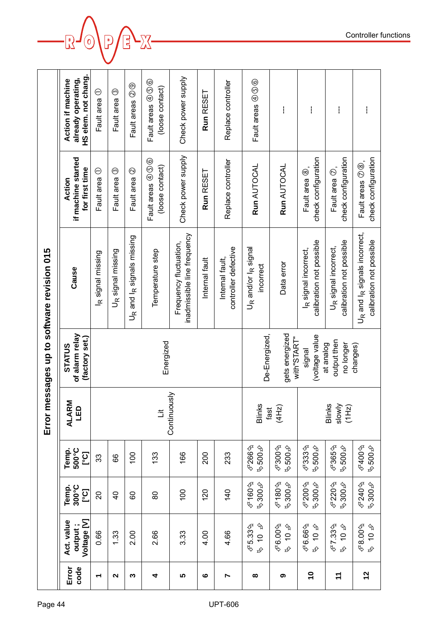| HS elem. not chang.<br>Check power supply<br>already operating,<br><b>Action if machine</b><br>Fault areas $@@@@$<br>Fault areas $\oplus$ $\circledS$<br>Replace controller<br>Fault areas 2 <sup>9</sup><br>(loose contact)<br>$_{\odot}$<br>Fault area ①<br>Run RESET<br>Fault area<br>ł<br>ł<br>ł | Check power supply<br>if machine started<br>check configuration<br>check configuration<br>Fault areas $\oplus$ $\circledS$<br>Replace controller<br>Run AUTOCAL<br>Run AUTOCAL<br>(loose contact)<br>for first time<br>Fault area <sup>®</sup> ,<br>Fault area $\circledcirc$ ,<br>$\odot$<br>$\ominus$<br>$^{\copyright}$<br>Run RESET<br>Fault area<br>Fault area<br>Fault area<br>Action | inadmissible line frequency<br>U <sub>R</sub> and I <sub>R</sub> signals missing<br>calibration not possible<br>calibration not possible<br>Frequency fluctuation,<br>U <sub>R</sub> signal incorrect,<br>controller defective<br>U <sub>R</sub> and/or I <sub>R</sub> signal<br>I <sub>R</sub> signal incorrect,<br>Error messages up to software revision 015<br>U <sub>R</sub> signal missing<br>Temperature step<br>R signal missing<br>Internal fault,<br>Internal fault<br>Data error<br>incorrect<br>Cause | of alarm relay<br>De-Energized,<br>gets energized<br>(voltage value)<br>(factory set.)<br>with"START"<br>output then<br>Energized<br>at analog<br>no longer<br>changes)<br><b>STATUS</b><br>signal | Continuously<br>Σ<br>LED<br>Blinks<br>(4Hz)<br>Blinks<br>slowly<br>(1 H <sub>2</sub> )<br><b>ALARI</b><br>fast<br>$\ddot{=}$ | C266<br>$\mathscr{F}300$ $\spadesuit$<br>$C$ 333 $\Uparrow$<br>$C365$ h<br>∕∱009ء<br>∱009ء<br>∲009⊅<br>Temp.<br>500°C<br>ား<br>001<br>166<br>200<br>133<br>233<br>89<br>33 | C220%<br>$C$ 160 ዓ<br>$C$ 180∱<br>$6200$ ዓ<br>∲00\$ �<br>∲00\$ Գ<br>∲00\$ স<br>∲00\$ স<br>300°C<br>Temp.<br>ဉ်<br>100<br>120<br>$\frac{40}{5}$<br>20<br>$\overline{4}$<br>80<br>80 | Voltage [V]<br>Act. value<br>$\phi$<br>$C5.33\%$<br>output;<br>$46.00\%$<br>$46.66\%$<br>$C$ 7.33ት<br>৬ 10 �<br><b>もい する</b><br>も<br>データ<br>0.66<br>2.66<br>4.66<br>1.33<br>2.00<br>3.33<br>4.00<br>$\frac{10}{4}$ | Error<br>code<br>$\overline{1}$<br>$\tilde{t}$<br>$\boldsymbol{\omega}$<br>$\sim$<br>5<br>ထ<br>თ<br>ო<br>4<br>N<br>᠆ |
|------------------------------------------------------------------------------------------------------------------------------------------------------------------------------------------------------------------------------------------------------------------------------------------------------|---------------------------------------------------------------------------------------------------------------------------------------------------------------------------------------------------------------------------------------------------------------------------------------------------------------------------------------------------------------------------------------------|-------------------------------------------------------------------------------------------------------------------------------------------------------------------------------------------------------------------------------------------------------------------------------------------------------------------------------------------------------------------------------------------------------------------------------------------------------------------------------------------------------------------|----------------------------------------------------------------------------------------------------------------------------------------------------------------------------------------------------|------------------------------------------------------------------------------------------------------------------------------|----------------------------------------------------------------------------------------------------------------------------------------------------------------------------|------------------------------------------------------------------------------------------------------------------------------------------------------------------------------------|--------------------------------------------------------------------------------------------------------------------------------------------------------------------------------------------------------------------|----------------------------------------------------------------------------------------------------------------------|
| ł                                                                                                                                                                                                                                                                                                    | check configuration<br>Fault areas $\oslash$ $\circledS$ .                                                                                                                                                                                                                                                                                                                                  | U <sub>R</sub> and I <sub>R</sub> signals incorrect,<br>calibration not possible                                                                                                                                                                                                                                                                                                                                                                                                                                  |                                                                                                                                                                                                    |                                                                                                                              | $\mathscr{F}400$ ዄ<br>৬,500∌                                                                                                                                               | $6240$ ት<br>40054                                                                                                                                                                  | $\tt\mathcal{F}8.00$ ዓ<br><b>ものみ</b>                                                                                                                                                                               | $\frac{2}{3}$                                                                                                        |
|                                                                                                                                                                                                                                                                                                      |                                                                                                                                                                                                                                                                                                                                                                                             |                                                                                                                                                                                                                                                                                                                                                                                                                                                                                                                   |                                                                                                                                                                                                    |                                                                                                                              |                                                                                                                                                                            |                                                                                                                                                                                    |                                                                                                                                                                                                                    |                                                                                                                      |
|                                                                                                                                                                                                                                                                                                      |                                                                                                                                                                                                                                                                                                                                                                                             |                                                                                                                                                                                                                                                                                                                                                                                                                                                                                                                   |                                                                                                                                                                                                    |                                                                                                                              |                                                                                                                                                                            |                                                                                                                                                                                    |                                                                                                                                                                                                                    |                                                                                                                      |
|                                                                                                                                                                                                                                                                                                      |                                                                                                                                                                                                                                                                                                                                                                                             |                                                                                                                                                                                                                                                                                                                                                                                                                                                                                                                   |                                                                                                                                                                                                    |                                                                                                                              |                                                                                                                                                                            |                                                                                                                                                                                    |                                                                                                                                                                                                                    |                                                                                                                      |
|                                                                                                                                                                                                                                                                                                      |                                                                                                                                                                                                                                                                                                                                                                                             |                                                                                                                                                                                                                                                                                                                                                                                                                                                                                                                   |                                                                                                                                                                                                    |                                                                                                                              |                                                                                                                                                                            |                                                                                                                                                                                    |                                                                                                                                                                                                                    |                                                                                                                      |
|                                                                                                                                                                                                                                                                                                      |                                                                                                                                                                                                                                                                                                                                                                                             |                                                                                                                                                                                                                                                                                                                                                                                                                                                                                                                   |                                                                                                                                                                                                    |                                                                                                                              |                                                                                                                                                                            |                                                                                                                                                                                    |                                                                                                                                                                                                                    |                                                                                                                      |
|                                                                                                                                                                                                                                                                                                      |                                                                                                                                                                                                                                                                                                                                                                                             |                                                                                                                                                                                                                                                                                                                                                                                                                                                                                                                   |                                                                                                                                                                                                    |                                                                                                                              |                                                                                                                                                                            |                                                                                                                                                                                    |                                                                                                                                                                                                                    |                                                                                                                      |
|                                                                                                                                                                                                                                                                                                      |                                                                                                                                                                                                                                                                                                                                                                                             |                                                                                                                                                                                                                                                                                                                                                                                                                                                                                                                   |                                                                                                                                                                                                    |                                                                                                                              |                                                                                                                                                                            |                                                                                                                                                                                    |                                                                                                                                                                                                                    |                                                                                                                      |
|                                                                                                                                                                                                                                                                                                      |                                                                                                                                                                                                                                                                                                                                                                                             |                                                                                                                                                                                                                                                                                                                                                                                                                                                                                                                   |                                                                                                                                                                                                    |                                                                                                                              |                                                                                                                                                                            |                                                                                                                                                                                    |                                                                                                                                                                                                                    |                                                                                                                      |
|                                                                                                                                                                                                                                                                                                      |                                                                                                                                                                                                                                                                                                                                                                                             |                                                                                                                                                                                                                                                                                                                                                                                                                                                                                                                   |                                                                                                                                                                                                    |                                                                                                                              |                                                                                                                                                                            |                                                                                                                                                                                    |                                                                                                                                                                                                                    |                                                                                                                      |
|                                                                                                                                                                                                                                                                                                      |                                                                                                                                                                                                                                                                                                                                                                                             |                                                                                                                                                                                                                                                                                                                                                                                                                                                                                                                   |                                                                                                                                                                                                    |                                                                                                                              |                                                                                                                                                                            |                                                                                                                                                                                    |                                                                                                                                                                                                                    |                                                                                                                      |
|                                                                                                                                                                                                                                                                                                      |                                                                                                                                                                                                                                                                                                                                                                                             |                                                                                                                                                                                                                                                                                                                                                                                                                                                                                                                   |                                                                                                                                                                                                    |                                                                                                                              |                                                                                                                                                                            |                                                                                                                                                                                    |                                                                                                                                                                                                                    |                                                                                                                      |
|                                                                                                                                                                                                                                                                                                      |                                                                                                                                                                                                                                                                                                                                                                                             |                                                                                                                                                                                                                                                                                                                                                                                                                                                                                                                   |                                                                                                                                                                                                    |                                                                                                                              |                                                                                                                                                                            |                                                                                                                                                                                    |                                                                                                                                                                                                                    |                                                                                                                      |
|                                                                                                                                                                                                                                                                                                      |                                                                                                                                                                                                                                                                                                                                                                                             |                                                                                                                                                                                                                                                                                                                                                                                                                                                                                                                   |                                                                                                                                                                                                    |                                                                                                                              |                                                                                                                                                                            |                                                                                                                                                                                    |                                                                                                                                                                                                                    |                                                                                                                      |

 $\overline{\mathsf{L}}$ 0

Controller functions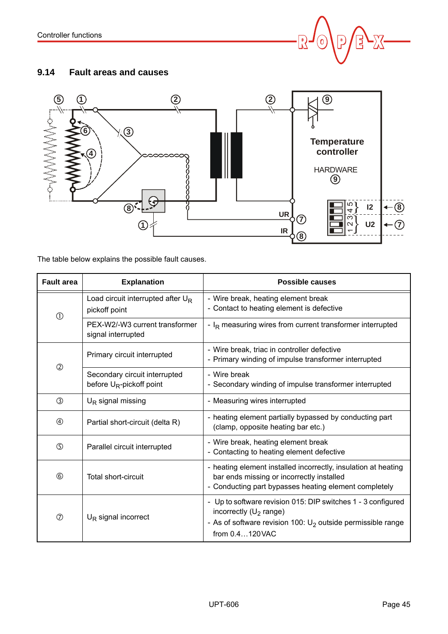![](_page_44_Picture_1.jpeg)

# <span id="page-44-1"></span><span id="page-44-0"></span>**9.14 Fault areas and causes**

![](_page_44_Figure_3.jpeg)

The table below explains the possible fault causes.

| <b>Fault area</b> | <b>Explanation</b>                                           | <b>Possible causes</b>                                                                                                                                                            |
|-------------------|--------------------------------------------------------------|-----------------------------------------------------------------------------------------------------------------------------------------------------------------------------------|
| $\circledD$       | Load circuit interrupted after $U_R$<br>pickoff point        | - Wire break, heating element break<br>- Contact to heating element is defective                                                                                                  |
|                   | PEX-W2/-W3 current transformer<br>signal interrupted         | - I <sub>R</sub> measuring wires from current transformer interrupted                                                                                                             |
| $\circled{2}$     | Primary circuit interrupted                                  | - Wire break, triac in controller defective<br>- Primary winding of impulse transformer interrupted                                                                               |
|                   | Secondary circuit interrupted<br>before $U_R$ -pickoff point | - Wire break<br>- Secondary winding of impulse transformer interrupted                                                                                                            |
| ③                 | $U_R$ signal missing                                         | - Measuring wires interrupted                                                                                                                                                     |
| $\circledA$       | Partial short-circuit (delta R)                              | - heating element partially bypassed by conducting part<br>(clamp, opposite heating bar etc.)                                                                                     |
| $\circledS$       | Parallel circuit interrupted                                 | - Wire break, heating element break<br>- Contacting to heating element defective                                                                                                  |
| $^{\circledR}$    | Total short-circuit                                          | - heating element installed incorrectly, insulation at heating<br>bar ends missing or incorrectly installed<br>- Conducting part bypasses heating element completely              |
| の                 | $U_R$ signal incorrect                                       | - Up to software revision 015: DIP switches 1 - 3 configured<br>incorrectly ( $U_2$ range)<br>- As of software revision 100: $U_2$ outside permissible range<br>from $0.4120$ VAC |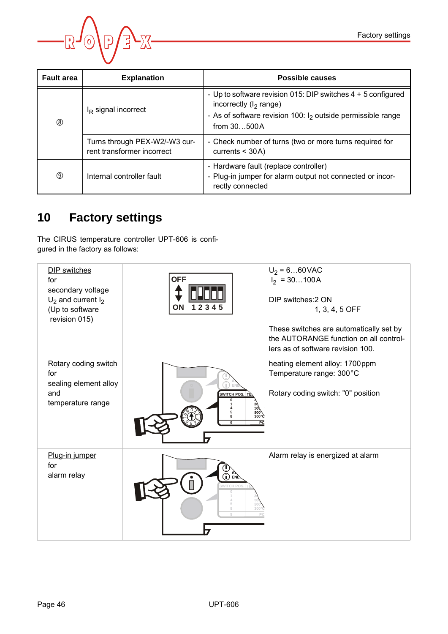![](_page_45_Picture_1.jpeg)

| <b>Fault area</b> | <b>Explanation</b>                                          | Possible causes                                                                                                                                                               |
|-------------------|-------------------------------------------------------------|-------------------------------------------------------------------------------------------------------------------------------------------------------------------------------|
| $^{\circledR}$    | $IR$ signal incorrect                                       | - Up to software revision 015: DIP switches 4 + 5 configured<br>incorrectly ( $I_2$ range)<br>- As of software revision 100: $I_2$ outside permissible range<br>from $30500A$ |
|                   | Turns through PEX-W2/-W3 cur-<br>rent transformer incorrect | - Check number of turns (two or more turns required for<br>currents $<$ 30A)                                                                                                  |
| ⊚                 | Internal controller fault                                   | - Hardware fault (replace controller)<br>- Plug-in jumper for alarm output not connected or incor-<br>rectly connected                                                        |

# <span id="page-45-1"></span><span id="page-45-0"></span>**10 Factory settings**

The CIRUS temperature controller UPT-606 is configured in the factory as follows:

| DIP switches<br>for<br>secondary voltage<br>$U_2$ and current $I_2$<br>(Up to software<br>revision 015) | <b>OFF</b><br>ON<br>12345                                               | $U_2 = 660$ VAC<br>$I_2 = 30100A$<br>DIP switches: 2 ON<br>1, 3, 4, 5 OFF<br>These switches are automatically set by<br>the AUTORANGE function on all control-<br>lers as of software revision 100. |
|---------------------------------------------------------------------------------------------------------|-------------------------------------------------------------------------|-----------------------------------------------------------------------------------------------------------------------------------------------------------------------------------------------------|
| Rotary coding switch<br>for<br>sealing element alloy<br>and<br>temperature range                        | SWITCH POS.<br>50)<br>500 <sup>3</sup><br>$300^\circ$ C<br>8<br>9<br>PC | heating element alloy: 1700ppm<br>Temperature range: 300°C<br>Rotary coding switch: "0" position                                                                                                    |
| Plug-in jumper<br>for<br>alarm relay                                                                    | ENE<br><b>SWITCH PO</b><br>500<br>300 <sup>o</sup><br>$\Omega$          | Alarm relay is energized at alarm                                                                                                                                                                   |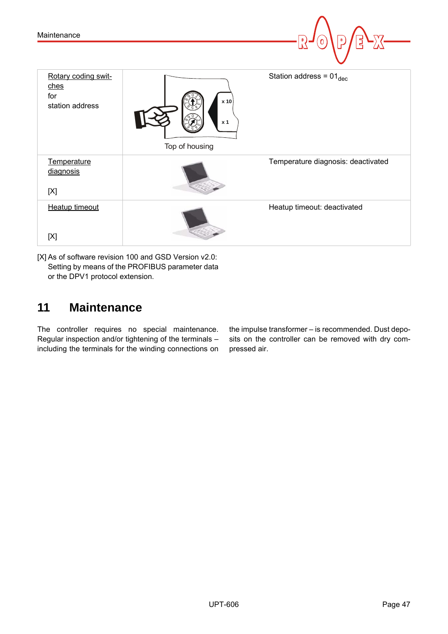| Maintenance                                           |                                          | D<br>$\mathbf 0$                   |
|-------------------------------------------------------|------------------------------------------|------------------------------------|
| Rotary coding swit-<br>ches<br>for<br>station address | x 10<br>x <sub>1</sub><br>Top of housing | Station address = $01_{dec}$       |
| Temperature<br>diagnosis<br>[X]                       |                                          | Temperature diagnosis: deactivated |
| <b>Heatup timeout</b><br>[X]                          |                                          | Heatup timeout: deactivated        |

[X] As of software revision 100 and GSD Version v2.0: Setting by means of the PROFIBUS parameter data or the DPV1 protocol extension.

# <span id="page-46-1"></span><span id="page-46-0"></span>**11 Maintenance**

The controller requires no special maintenance. Regular inspection and/or tightening of the terminals – including the terminals for the winding connections on the impulse transformer – is recommended. Dust deposits on the controller can be removed with dry compressed air.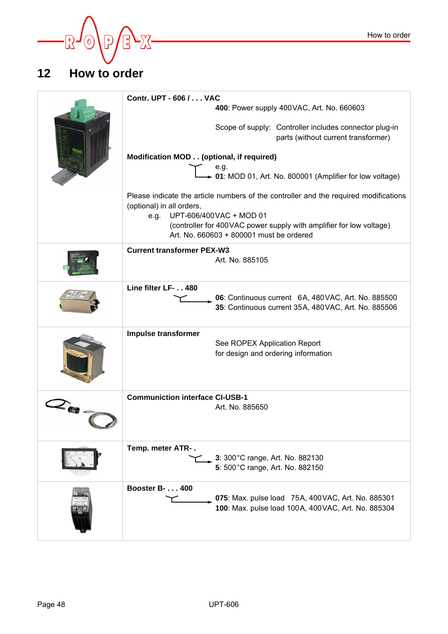![](_page_47_Picture_0.jpeg)

# <span id="page-47-0"></span>**12 How to order**

<span id="page-47-11"></span><span id="page-47-10"></span><span id="page-47-9"></span><span id="page-47-8"></span><span id="page-47-7"></span><span id="page-47-6"></span><span id="page-47-5"></span><span id="page-47-4"></span><span id="page-47-3"></span><span id="page-47-2"></span><span id="page-47-1"></span>

|     | Contr. UPT - 606 / VAC                                                                                                                              |
|-----|-----------------------------------------------------------------------------------------------------------------------------------------------------|
|     | 400: Power supply 400 VAC, Art. No. 660603                                                                                                          |
|     | Scope of supply: Controller includes connector plug-in<br>parts (without current transformer)                                                       |
|     | Modification MOD (optional, if required)                                                                                                            |
|     | e.g.<br>$\leftarrow$ e.g.<br>► 01: MOD 01, Art. No. 800001 (Amplifier for low voltage)                                                              |
|     | Please indicate the article numbers of the controller and the required modifications<br>(optional) in all orders,                                   |
|     | UPT-606/400VAC + MOD 01<br>e.g.<br>(controller for 400 VAC power supply with amplifier for low voltage)<br>Art. No. 660603 + 800001 must be ordered |
|     | <b>Current transformer PEX-W3</b><br>Art. No. 885105                                                                                                |
|     | Line filter LF- 480<br>06: Continuous current 6A, 480VAC, Art. No. 885500<br>35: Continuous current 35A, 480VAC, Art. No. 885506                    |
|     | Impulse transformer<br>See ROPEX Application Report<br>for design and ordering information                                                          |
| 2個- | <b>Communiction interface CI-USB-1</b><br>Art. No. 885650                                                                                           |
|     | Temp. meter ATR-.<br>3: 300 °C range, Art. No. 882130<br>5: 500 °C range, Art. No. 882150                                                           |
|     | <b>Booster B- 400</b><br>075: Max. pulse load 75A, 400VAC, Art. No. 885301<br>100: Max. pulse load 100A, 400VAC, Art. No. 885304                    |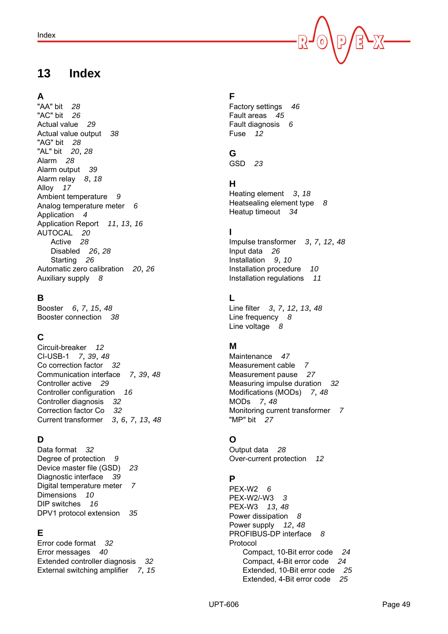# <span id="page-48-0"></span>**13 Index**

# **A**

"AA" bit *[28](#page-27-2)* "AC" bit *[26](#page-25-2)* Actual value *[29](#page-28-1)* Actual value output *[38](#page-37-2)* "AG" bit *[28](#page-27-3)* "AL" bit *[20](#page-19-1)*, *[28](#page-27-4)* Alarm *[28](#page-27-5)* Alarm output *[39](#page-38-2)* Alarm relay *[8](#page-7-1)*, *[18](#page-17-2)* Alloy *[17](#page-16-0)* Ambient temperature *[9](#page-8-0)* Analog temperature meter *[6](#page-5-4)* Application *[4](#page-3-3)* Application Report *[11](#page-10-0)*, *[13](#page-12-2)*, *[16](#page-15-3)* AUTOCAL *[20](#page-19-2)* Active *[28](#page-27-6)* Disabled *[26](#page-25-3)*, *[28](#page-27-7)* Starting *[26](#page-25-4)* Automatic zero calibration *[20](#page-19-2)*, *[26](#page-25-5)* Auxiliary supply *[8](#page-7-2)*

# **B**

Booster *[6](#page-5-5)*, *[7](#page-6-1)*, *[15](#page-14-1)*, *[48](#page-47-1)* Booster connection *[38](#page-37-3)*

# **C**

Circuit-breaker *[12](#page-11-1)* CI-USB-1 *[7](#page-6-2)*, *[39](#page-38-3)*, *[48](#page-47-2)* Co correction factor *[32](#page-31-2)* Communication interface *[7](#page-6-3)*, *[39](#page-38-4)*, *[48](#page-47-3)* Controller active *[29](#page-28-2)* Controller configuration *[16](#page-15-4)* Controller diagnosis *[32](#page-31-3)* Correction factor Co *[32](#page-31-4)* Current transformer *[3](#page-2-6)*, *[6](#page-5-6)*, *[7](#page-6-4)*, *[13](#page-12-3)*, *[48](#page-47-4)*

# **D**

Data format *[32](#page-31-5)* Degree of protection *[9](#page-8-1)* Device master file (GSD) *[23](#page-22-3)* Diagnostic interface *[39](#page-38-5)* Digital temperature meter *[7](#page-6-5)* Dimensions *[10](#page-9-4)* DIP switches *[16](#page-15-5)* DPV1 protocol extension *[35](#page-34-2)*

# **E**

Error code format *[32](#page-31-6)* Error messages *[40](#page-39-1)* Extended controller diagnosis *[32](#page-31-7)* External switching amplifier *[7](#page-6-6)*, *[15](#page-14-1)*

# **F**

Factory settings *[46](#page-45-1)* Fault areas *[45](#page-44-1)* Fault diagnosis *[6](#page-5-7)* Fuse *[12](#page-11-2)*

# **G**

GSD *[23](#page-22-4)*

# **H**

Heating element *[3](#page-2-7)*, *[18](#page-17-3)* Heatsealing element type *[8](#page-7-3)* Heatup timeout *[34](#page-33-1)*

# **I**

Impulse transformer *[3](#page-2-8)*, *[7](#page-6-7)*, *[12](#page-11-3)*, *[48](#page-47-5)* Input data *[26](#page-25-6)* Installation *[9](#page-8-2)*, *[10](#page-9-5)* Installation procedure *[10](#page-9-6)* Installation regulations *[11](#page-10-1)*

# **L**

Line filter *[3](#page-2-9)*, *[7](#page-6-8)*, *[12](#page-11-4)*, *[13](#page-12-4)*, *[48](#page-47-6)* Line frequency *[8](#page-7-4)* Line voltage *[8](#page-7-5)*

# **M**

Maintenance *[47](#page-46-1)* Measurement cable *[7](#page-6-9)* Measurement pause *[27](#page-26-2)* Measuring impulse duration *[32](#page-31-8)* Modifications (MODs) *[7](#page-6-10)*, *[48](#page-47-7)* MODs *[7](#page-6-10)*, *[48](#page-47-7)* Monitoring current transformer *[7](#page-6-11)* "MP" bit *[27](#page-26-3)*

# **O**

Output data *[28](#page-27-8)* Over-current protection *[12](#page-11-5)*

# **P**

PEX-W2 *[6](#page-5-8)* PEX-W2/-W3 *[3](#page-2-10)* PEX-W3 *[13](#page-12-5)*, *[48](#page-47-8)* Power dissipation *[8](#page-7-6)* Power supply *[12](#page-11-6)*, *[48](#page-47-9)* PROFIBUS-DP interface *[8](#page-7-7)* Protocol Compact, 10-Bit error code *[24](#page-23-0)* Compact, 4-Bit error code *[24](#page-23-1)* Extended, 10-Bit error code *[25](#page-24-0)* Extended, 4-Bit error code *[25](#page-24-1)*